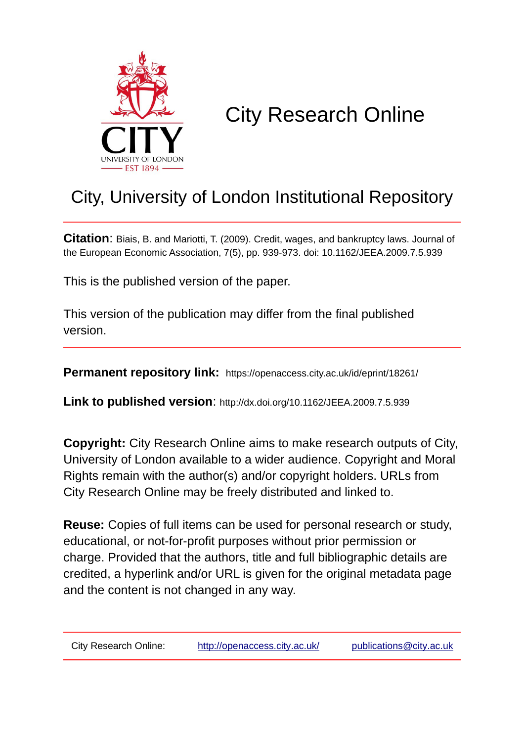

# City Research Online

## City, University of London Institutional Repository

**Citation**: Biais, B. and Mariotti, T. (2009). Credit, wages, and bankruptcy laws. Journal of the European Economic Association, 7(5), pp. 939-973. doi: 10.1162/JEEA.2009.7.5.939

This is the published version of the paper.

This version of the publication may differ from the final published version.

**Permanent repository link:** https://openaccess.city.ac.uk/id/eprint/18261/

**Link to published version**: http://dx.doi.org/10.1162/JEEA.2009.7.5.939

**Copyright:** City Research Online aims to make research outputs of City, University of London available to a wider audience. Copyright and Moral Rights remain with the author(s) and/or copyright holders. URLs from City Research Online may be freely distributed and linked to.

**Reuse:** Copies of full items can be used for personal research or study, educational, or not-for-profit purposes without prior permission or charge. Provided that the authors, title and full bibliographic details are credited, a hyperlink and/or URL is given for the original metadata page and the content is not changed in any way.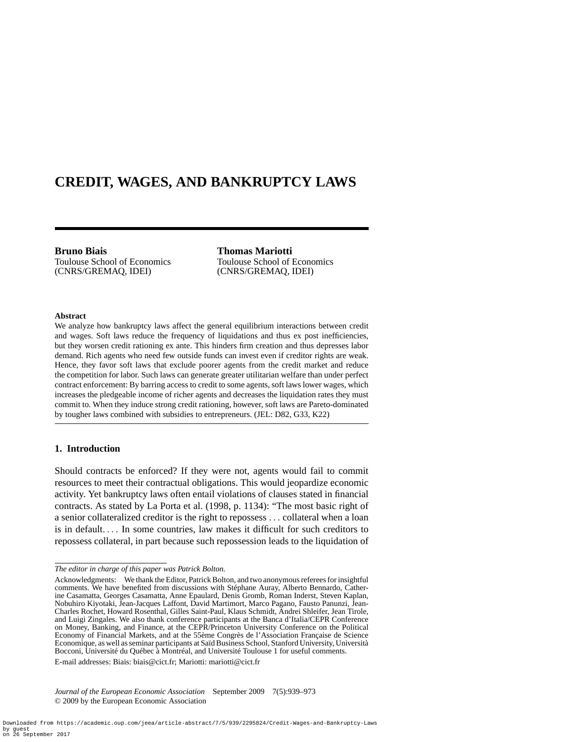### **CREDIT, WAGES, AND BANKRUPTCY LAWS**

**Bruno Biais**

Toulouse School of Economics (CNRS/GREMAQ, IDEI)

**Thomas Mariotti** Toulouse School of Economics (CNRS/GREMAQ, IDEI)

#### **Abstract**

We analyze how bankruptcy laws affect the general equilibrium interactions between credit and wages. Soft laws reduce the frequency of liquidations and thus ex post inefficiencies, but they worsen credit rationing ex ante. This hinders firm creation and thus depresses labor demand. Rich agents who need few outside funds can invest even if creditor rights are weak. Hence, they favor soft laws that exclude poorer agents from the credit market and reduce the competition for labor. Such laws can generate greater utilitarian welfare than under perfect contract enforcement: By barring access to credit to some agents, soft laws lower wages, which increases the pledgeable income of richer agents and decreases the liquidation rates they must commit to. When they induce strong credit rationing, however, soft laws are Pareto-dominated by tougher laws combined with subsidies to entrepreneurs. (JEL: D82, G33, K22)

#### **1. Introduction**

Should contracts be enforced? If they were not, agents would fail to commit resources to meet their contractual obligations. This would jeopardize economic activity. Yet bankruptcy laws often entail violations of clauses stated in financial contracts. As stated by La Porta et al. (1998, p. 1134): "The most basic right of a senior collateralized creditor is the right to repossess *...* collateral when a loan is in default*....* In some countries, law makes it difficult for such creditors to repossess collateral, in part because such repossession leads to the liquidation of

E-mail addresses: Biais: biais@cict.fr; Mariotti: mariotti@cict.fr

*Journal of the European Economic Association* September 2009 7(5):939–973 © 2009 by the European Economic Association

*The editor in charge of this paper was Patrick Bolton.*

Acknowledgments: We thank the Editor, Patrick Bolton, and two anonymous referees for insightful comments. We have benefited from discussions with Stéphane Auray, Alberto Bennardo, Catherine Casamatta, Georges Casamatta, Anne Epaulard, Denis Gromb, Roman Inderst, Steven Kaplan, Nobuhiro Kiyotaki, Jean-Jacques Laffont, David Martimort, Marco Pagano, Fausto Panunzi, Jean-Charles Rochet, Howard Rosenthal, Gilles Saint-Paul, Klaus Schmidt, Andrei Shleifer, Jean Tirole, and Luigi Zingales. We also thank conference participants at the Banca d'Italia/CEPR Conference on Money, Banking, and Finance, at the CEPR/Princeton University Conference on the Political Economy of Financial Markets, and at the 55ème Congrès de l'Association Française de Science Economique, as well as seminar participants at Saïd Business School, Stanford University, Università Bocconi, Université du Québec à Montréal, and Université Toulouse 1 for useful comments.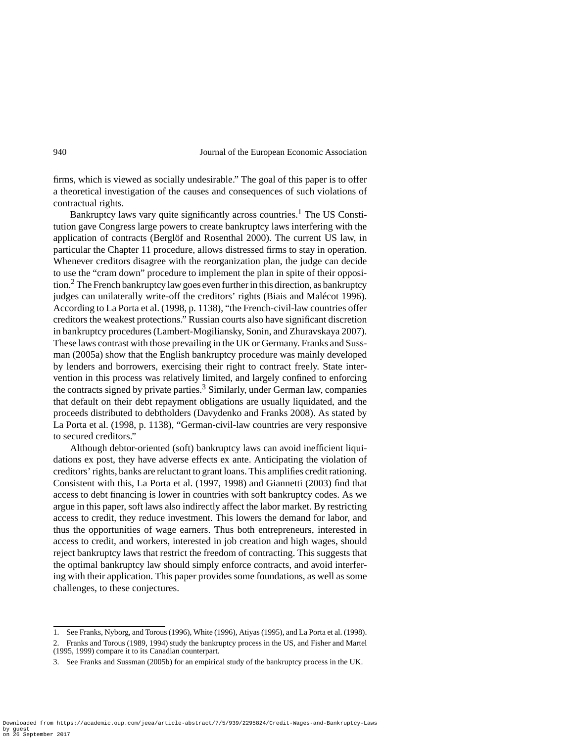firms, which is viewed as socially undesirable." The goal of this paper is to offer a theoretical investigation of the causes and consequences of such violations of contractual rights.

Bankruptcy laws vary quite significantly across countries.<sup>1</sup> The US Constitution gave Congress large powers to create bankruptcy laws interfering with the application of contracts (Berglöf and Rosenthal 2000). The current US law, in particular the Chapter 11 procedure, allows distressed firms to stay in operation. Whenever creditors disagree with the reorganization plan, the judge can decide to use the "cram down" procedure to implement the plan in spite of their opposition.<sup>2</sup> The French bankruptcy law goes even further in this direction, as bankruptcy judges can unilaterally write-off the creditors' rights (Biais and Malécot 1996). According to La Porta et al. (1998, p. 1138), "the French-civil-law countries offer creditors the weakest protections." Russian courts also have significant discretion in bankruptcy procedures (Lambert-Mogiliansky, Sonin, and Zhuravskaya 2007). These laws contrast with those prevailing in the UK or Germany. Franks and Sussman (2005a) show that the English bankruptcy procedure was mainly developed by lenders and borrowers, exercising their right to contract freely. State intervention in this process was relatively limited, and largely confined to enforcing the contracts signed by private parties.<sup>3</sup> Similarly, under German law, companies that default on their debt repayment obligations are usually liquidated, and the proceeds distributed to debtholders (Davydenko and Franks 2008). As stated by La Porta et al. (1998, p. 1138), "German-civil-law countries are very responsive to secured creditors."

Although debtor-oriented (soft) bankruptcy laws can avoid inefficient liquidations ex post, they have adverse effects ex ante. Anticipating the violation of creditors' rights, banks are reluctant to grant loans. This amplifies credit rationing. Consistent with this, La Porta et al. (1997, 1998) and Giannetti (2003) find that access to debt financing is lower in countries with soft bankruptcy codes. As we argue in this paper, soft laws also indirectly affect the labor market. By restricting access to credit, they reduce investment. This lowers the demand for labor, and thus the opportunities of wage earners. Thus both entrepreneurs, interested in access to credit, and workers, interested in job creation and high wages, should reject bankruptcy laws that restrict the freedom of contracting. This suggests that the optimal bankruptcy law should simply enforce contracts, and avoid interfering with their application. This paper provides some foundations, as well as some challenges, to these conjectures.

<sup>1.</sup> See Franks, Nyborg, and Torous (1996), White (1996), Atiyas (1995), and La Porta et al. (1998).

<sup>2.</sup> Franks and Torous (1989, 1994) study the bankruptcy process in the US, and Fisher and Martel (1995, 1999) compare it to its Canadian counterpart.

<sup>3.</sup> See Franks and Sussman (2005b) for an empirical study of the bankruptcy process in the UK.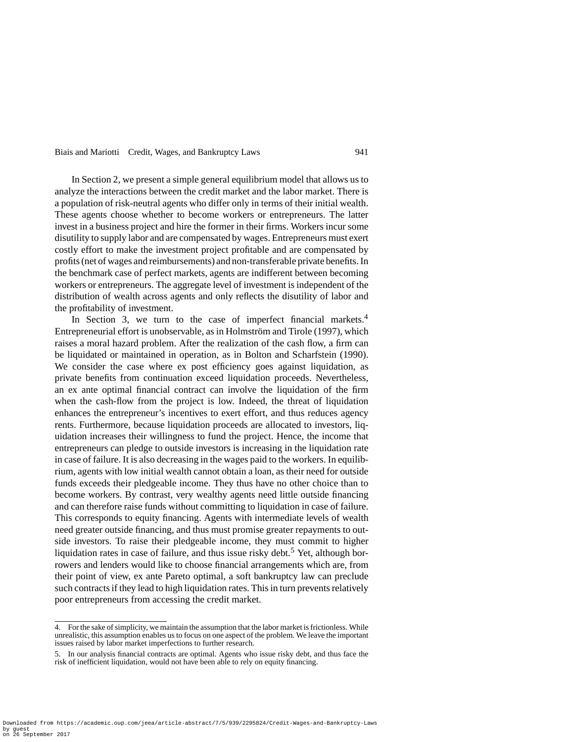In Section 2, we present a simple general equilibrium model that allows us to analyze the interactions between the credit market and the labor market. There is a population of risk-neutral agents who differ only in terms of their initial wealth. These agents choose whether to become workers or entrepreneurs. The latter invest in a business project and hire the former in their firms. Workers incur some disutility to supply labor and are compensated by wages. Entrepreneurs must exert costly effort to make the investment project profitable and are compensated by profits (net of wages and reimbursements) and non-transferable private benefits. In the benchmark case of perfect markets, agents are indifferent between becoming workers or entrepreneurs. The aggregate level of investment is independent of the distribution of wealth across agents and only reflects the disutility of labor and the profitability of investment.

In Section 3, we turn to the case of imperfect financial markets. $4$ Entrepreneurial effort is unobservable, as in Holmström and Tirole (1997), which raises a moral hazard problem. After the realization of the cash flow, a firm can be liquidated or maintained in operation, as in Bolton and Scharfstein (1990). We consider the case where ex post efficiency goes against liquidation, as private benefits from continuation exceed liquidation proceeds. Nevertheless, an ex ante optimal financial contract can involve the liquidation of the firm when the cash-flow from the project is low. Indeed, the threat of liquidation enhances the entrepreneur's incentives to exert effort, and thus reduces agency rents. Furthermore, because liquidation proceeds are allocated to investors, liquidation increases their willingness to fund the project. Hence, the income that entrepreneurs can pledge to outside investors is increasing in the liquidation rate in case of failure. It is also decreasing in the wages paid to the workers. In equilibrium, agents with low initial wealth cannot obtain a loan, as their need for outside funds exceeds their pledgeable income. They thus have no other choice than to become workers. By contrast, very wealthy agents need little outside financing and can therefore raise funds without committing to liquidation in case of failure. This corresponds to equity financing. Agents with intermediate levels of wealth need greater outside financing, and thus must promise greater repayments to outside investors. To raise their pledgeable income, they must commit to higher liquidation rates in case of failure, and thus issue risky debt.<sup>5</sup> Yet, although borrowers and lenders would like to choose financial arrangements which are, from their point of view, ex ante Pareto optimal, a soft bankruptcy law can preclude such contracts if they lead to high liquidation rates. This in turn prevents relatively poor entrepreneurs from accessing the credit market.

Downloaded from https://academic.oup.com/jeea/article-abstract/7/5/939/2295824/Credit-Wages-and-Bankruptcy-Laws by guest on 26 September 2017

<sup>4.</sup> For the sake of simplicity, we maintain the assumption that the labor market is frictionless. While unrealistic, this assumption enables us to focus on one aspect of the problem. We leave the important issues raised by labor market imperfections to further research.

<sup>5.</sup> In our analysis financial contracts are optimal. Agents who issue risky debt, and thus face the risk of inefficient liquidation, would not have been able to rely on equity financing.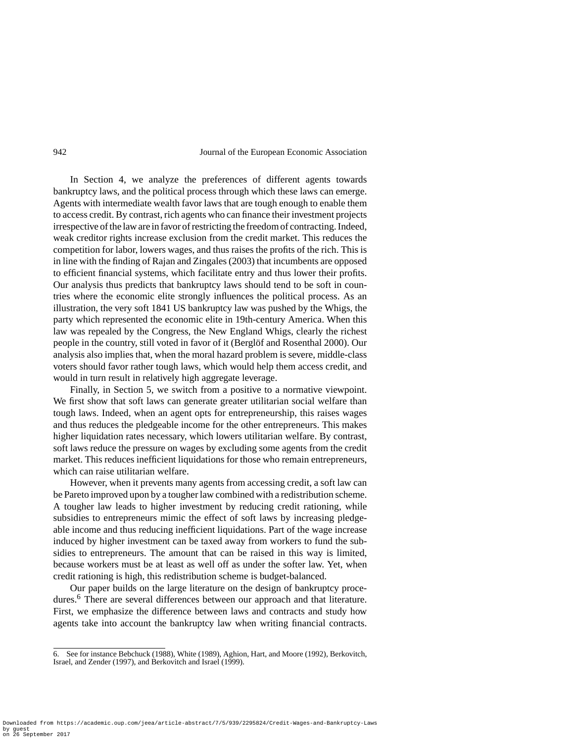In Section 4, we analyze the preferences of different agents towards bankruptcy laws, and the political process through which these laws can emerge. Agents with intermediate wealth favor laws that are tough enough to enable them to access credit. By contrast, rich agents who can finance their investment projects irrespective of the law are in favor of restricting the freedom of contracting. Indeed, weak creditor rights increase exclusion from the credit market. This reduces the competition for labor, lowers wages, and thus raises the profits of the rich. This is in line with the finding of Rajan and Zingales (2003) that incumbents are opposed to efficient financial systems, which facilitate entry and thus lower their profits. Our analysis thus predicts that bankruptcy laws should tend to be soft in countries where the economic elite strongly influences the political process. As an illustration, the very soft 1841 US bankruptcy law was pushed by the Whigs, the party which represented the economic elite in 19th-century America. When this law was repealed by the Congress, the New England Whigs, clearly the richest people in the country, still voted in favor of it (Berglöf and Rosenthal 2000). Our analysis also implies that, when the moral hazard problem is severe, middle-class voters should favor rather tough laws, which would help them access credit, and would in turn result in relatively high aggregate leverage.

Finally, in Section 5, we switch from a positive to a normative viewpoint. We first show that soft laws can generate greater utilitarian social welfare than tough laws. Indeed, when an agent opts for entrepreneurship, this raises wages and thus reduces the pledgeable income for the other entrepreneurs. This makes higher liquidation rates necessary, which lowers utilitarian welfare. By contrast, soft laws reduce the pressure on wages by excluding some agents from the credit market. This reduces inefficient liquidations for those who remain entrepreneurs, which can raise utilitarian welfare.

However, when it prevents many agents from accessing credit, a soft law can be Pareto improved upon by a tougher law combined with a redistribution scheme. A tougher law leads to higher investment by reducing credit rationing, while subsidies to entrepreneurs mimic the effect of soft laws by increasing pledgeable income and thus reducing inefficient liquidations. Part of the wage increase induced by higher investment can be taxed away from workers to fund the subsidies to entrepreneurs. The amount that can be raised in this way is limited, because workers must be at least as well off as under the softer law. Yet, when credit rationing is high, this redistribution scheme is budget-balanced.

Our paper builds on the large literature on the design of bankruptcy procedures.<sup>6</sup> There are several differences between our approach and that literature. First, we emphasize the difference between laws and contracts and study how agents take into account the bankruptcy law when writing financial contracts.

<sup>6.</sup> See for instance Bebchuck (1988), White (1989), Aghion, Hart, and Moore (1992), Berkovitch, Israel, and Zender (1997), and Berkovitch and Israel (1999).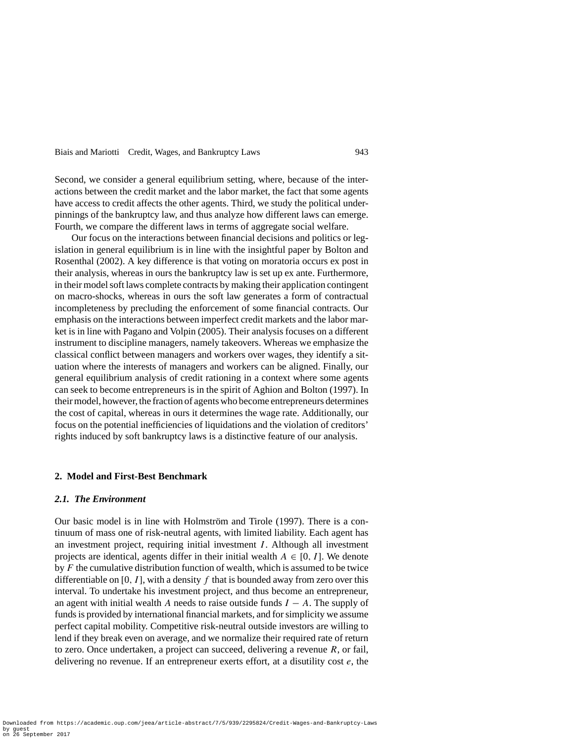Second, we consider a general equilibrium setting, where, because of the interactions between the credit market and the labor market, the fact that some agents have access to credit affects the other agents. Third, we study the political underpinnings of the bankruptcy law, and thus analyze how different laws can emerge. Fourth, we compare the different laws in terms of aggregate social welfare.

Our focus on the interactions between financial decisions and politics or legislation in general equilibrium is in line with the insightful paper by Bolton and Rosenthal (2002). A key difference is that voting on moratoria occurs ex post in their analysis, whereas in ours the bankruptcy law is set up ex ante. Furthermore, in their model soft laws complete contracts by making their application contingent on macro-shocks, whereas in ours the soft law generates a form of contractual incompleteness by precluding the enforcement of some financial contracts. Our emphasis on the interactions between imperfect credit markets and the labor market is in line with Pagano and Volpin (2005). Their analysis focuses on a different instrument to discipline managers, namely takeovers. Whereas we emphasize the classical conflict between managers and workers over wages, they identify a situation where the interests of managers and workers can be aligned. Finally, our general equilibrium analysis of credit rationing in a context where some agents can seek to become entrepreneurs is in the spirit of Aghion and Bolton (1997). In their model, however, the fraction of agents who become entrepreneurs determines the cost of capital, whereas in ours it determines the wage rate. Additionally, our focus on the potential inefficiencies of liquidations and the violation of creditors' rights induced by soft bankruptcy laws is a distinctive feature of our analysis.

#### **2. Model and First-Best Benchmark**

#### *2.1. The Environment*

Our basic model is in line with Holmström and Tirole (1997). There is a continuum of mass one of risk-neutral agents, with limited liability. Each agent has an investment project, requiring initial investment *I* . Although all investment projects are identical, agents differ in their initial wealth  $A \in [0, I]$ . We denote by *F* the cumulative distribution function of wealth, which is assumed to be twice differentiable on [0,  $I$ ], with a density  $f$  that is bounded away from zero over this interval. To undertake his investment project, and thus become an entrepreneur, an agent with initial wealth *A* needs to raise outside funds *I* − *A*. The supply of funds is provided by international financial markets, and for simplicity we assume perfect capital mobility. Competitive risk-neutral outside investors are willing to lend if they break even on average, and we normalize their required rate of return to zero. Once undertaken, a project can succeed, delivering a revenue *R*, or fail, delivering no revenue. If an entrepreneur exerts effort, at a disutility cost *e*, the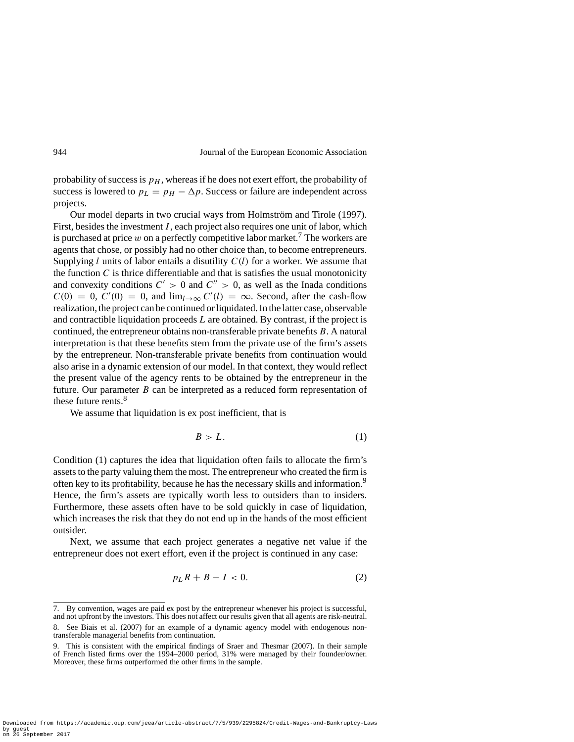probability of success is  $p<sub>H</sub>$ , whereas if he does not exert effort, the probability of success is lowered to  $p_L = p_H - \Delta p$ . Success or failure are independent across projects.

Our model departs in two crucial ways from Holmström and Tirole (1997). First, besides the investment *I* , each project also requires one unit of labor, which is purchased at price  $w$  on a perfectly competitive labor market.<sup>7</sup> The workers are agents that chose, or possibly had no other choice than, to become entrepreneurs. Supplying *l* units of labor entails a disutility *C(l)* for a worker. We assume that the function  $C$  is thrice differentiable and that is satisfies the usual monotonicity and convexity conditions  $C' > 0$  and  $C'' > 0$ , as well as the Inada conditions  $C(0) = 0$ ,  $C'(0) = 0$ , and  $\lim_{l \to \infty} C'(l) = \infty$ . Second, after the cash-flow realization, the project can be continued or liquidated. In the latter case, observable and contractible liquidation proceeds *L* are obtained. By contrast, if the project is continued, the entrepreneur obtains non-transferable private benefits *B*. A natural interpretation is that these benefits stem from the private use of the firm's assets by the entrepreneur. Non-transferable private benefits from continuation would also arise in a dynamic extension of our model. In that context, they would reflect the present value of the agency rents to be obtained by the entrepreneur in the future. Our parameter *B* can be interpreted as a reduced form representation of these future rents. $8<sup>8</sup>$ 

We assume that liquidation is ex post inefficient, that is

$$
B > L. \tag{1}
$$

Condition (1) captures the idea that liquidation often fails to allocate the firm's assets to the party valuing them the most. The entrepreneur who created the firm is often key to its profitability, because he has the necessary skills and information.<sup>9</sup> Hence, the firm's assets are typically worth less to outsiders than to insiders. Furthermore, these assets often have to be sold quickly in case of liquidation, which increases the risk that they do not end up in the hands of the most efficient outsider.

Next, we assume that each project generates a negative net value if the entrepreneur does not exert effort, even if the project is continued in any case:

$$
p_L R + B - I < 0. \tag{2}
$$

<sup>7.</sup> By convention, wages are paid ex post by the entrepreneur whenever his project is successful, and not upfront by the investors. This does not affect our results given that all agents are risk-neutral.

<sup>8.</sup> See Biais et al. (2007) for an example of a dynamic agency model with endogenous nontransferable managerial benefits from continuation.

<sup>9.</sup> This is consistent with the empirical findings of Sraer and Thesmar (2007). In their sample of French listed firms over the 1994–2000 period, 31% were managed by their founder/owner. Moreover, these firms outperformed the other firms in the sample.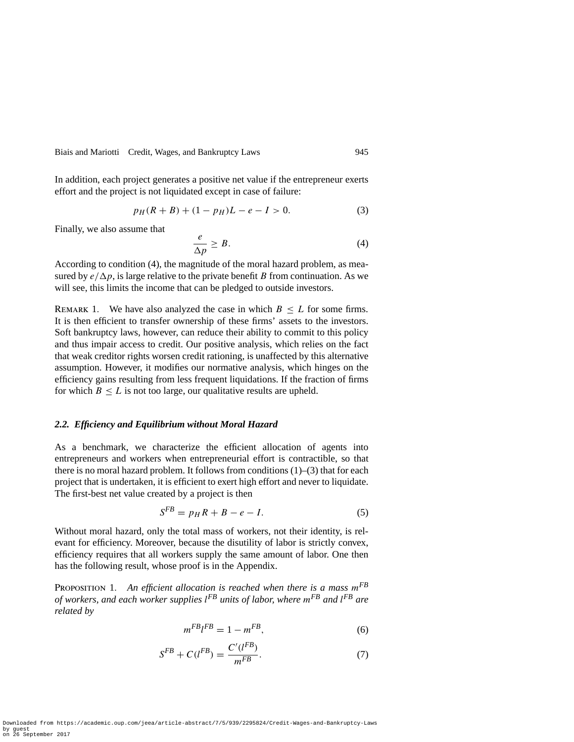In addition, each project generates a positive net value if the entrepreneur exerts effort and the project is not liquidated except in case of failure:

$$
p_H(R + B) + (1 - p_H)L - e - I > 0.
$$
 (3)

Finally, we also assume that

$$
\frac{e}{\Delta p} \ge B. \tag{4}
$$

According to condition (4), the magnitude of the moral hazard problem, as measured by  $e/\Delta p$ , is large relative to the private benefit *B* from continuation. As we will see, this limits the income that can be pledged to outside investors.

REMARK 1. We have also analyzed the case in which  $B \leq L$  for some firms. It is then efficient to transfer ownership of these firms' assets to the investors. Soft bankruptcy laws, however, can reduce their ability to commit to this policy and thus impair access to credit. Our positive analysis, which relies on the fact that weak creditor rights worsen credit rationing, is unaffected by this alternative assumption. However, it modifies our normative analysis, which hinges on the efficiency gains resulting from less frequent liquidations. If the fraction of firms for which  $B \leq L$  is not too large, our qualitative results are upheld.

#### *2.2. Efficiency and Equilibrium without Moral Hazard*

As a benchmark, we characterize the efficient allocation of agents into entrepreneurs and workers when entrepreneurial effort is contractible, so that there is no moral hazard problem. It follows from conditions  $(1)$ – $(3)$  that for each project that is undertaken, it is efficient to exert high effort and never to liquidate. The first-best net value created by a project is then

$$
S^{FB} = p_H R + B - e - I. \tag{5}
$$

Without moral hazard, only the total mass of workers, not their identity, is relevant for efficiency. Moreover, because the disutility of labor is strictly convex, efficiency requires that all workers supply the same amount of labor. One then has the following result, whose proof is in the Appendix.

Proposition 1. *An efficient allocation is reached when there is a mass mFB of workers, and each worker supplies l FB units of labor, where mFB and l FB are related by*

$$
m^{FB}l^{FB} = 1 - m^{FB},\tag{6}
$$

$$
S^{FB} + C(l^{FB}) = \frac{C'(l^{FB})}{m^{FB}}.
$$
 (7)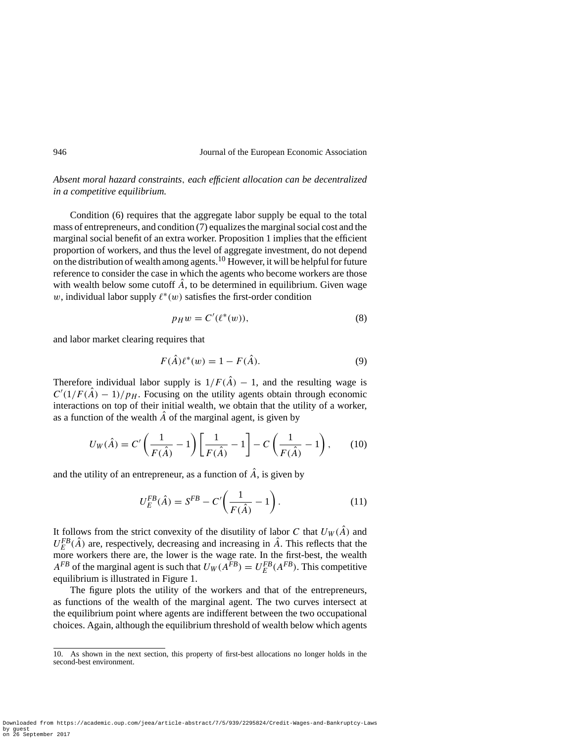*Absent moral hazard constraints, each efficient allocation can be decentralized in a competitive equilibrium.*

Condition (6) requires that the aggregate labor supply be equal to the total mass of entrepreneurs, and condition (7) equalizes the marginal social cost and the marginal social benefit of an extra worker. Proposition 1 implies that the efficient proportion of workers, and thus the level of aggregate investment, do not depend on the distribution of wealth among agents.<sup>10</sup> However, it will be helpful for future reference to consider the case in which the agents who become workers are those with wealth below some cutoff  $\hat{A}$ , to be determined in equilibrium. Given wage *w*, individual labor supply  $\ell^*(w)$  satisfies the first-order condition

$$
p_H w = C'(\ell^*(w)),\tag{8}
$$

and labor market clearing requires that

$$
F(\hat{A})\ell^*(w) = 1 - F(\hat{A}).
$$
\n(9)

Therefore individual labor supply is  $1/F(\hat{A}) - 1$ , and the resulting wage is  $C'(1/F(A) - 1)/p_H$ . Focusing on the utility agents obtain through economic interactions on top of their initial wealth, we obtain that the utility of a worker, as a function of the wealth  $\ddot{A}$  of the marginal agent, is given by

$$
U_W(\hat{A}) = C' \left( \frac{1}{F(\hat{A})} - 1 \right) \left[ \frac{1}{F(\hat{A})} - 1 \right] - C \left( \frac{1}{F(\hat{A})} - 1 \right), \qquad (10)
$$

and the utility of an entrepreneur, as a function of  $\hat{A}$ , is given by

$$
U_E^{FB}(\hat{A}) = S^{FB} - C' \left( \frac{1}{F(\hat{A})} - 1 \right). \tag{11}
$$

It follows from the strict convexity of the disutility of labor *C* that  $U_W(\hat{A})$  and  $U_E^{FB}(\hat{A})$  are, respectively, decreasing and increasing in  $\hat{A}$ . This reflects that the more workers there are, the lower is the wage rate. In the first-best, the wealth *A*<sup>*FB*</sup> of the marginal agent is such that  $U_W(A^{FB}) = U_E^{FB}(A^{FB})$ . This competitive equilibrium is illustrated in Figure 1.

The figure plots the utility of the workers and that of the entrepreneurs, as functions of the wealth of the marginal agent. The two curves intersect at the equilibrium point where agents are indifferent between the two occupational choices. Again, although the equilibrium threshold of wealth below which agents

<sup>10.</sup> As shown in the next section, this property of first-best allocations no longer holds in the second-best environment.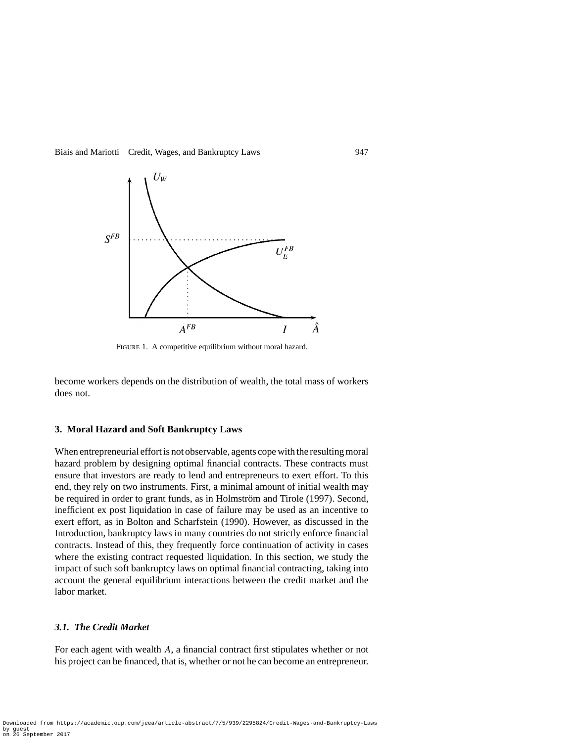

FIGURE 1. A competitive equilibrium without moral hazard.

become workers depends on the distribution of wealth, the total mass of workers does not.

#### **3. Moral Hazard and Soft Bankruptcy Laws**

When entrepreneurial effort is not observable, agents cope with the resulting moral hazard problem by designing optimal financial contracts. These contracts must ensure that investors are ready to lend and entrepreneurs to exert effort. To this end, they rely on two instruments. First, a minimal amount of initial wealth may be required in order to grant funds, as in Holmström and Tirole (1997). Second, inefficient ex post liquidation in case of failure may be used as an incentive to exert effort, as in Bolton and Scharfstein (1990). However, as discussed in the Introduction, bankruptcy laws in many countries do not strictly enforce financial contracts. Instead of this, they frequently force continuation of activity in cases where the existing contract requested liquidation. In this section, we study the impact of such soft bankruptcy laws on optimal financial contracting, taking into account the general equilibrium interactions between the credit market and the labor market.

#### *3.1. The Credit Market*

For each agent with wealth *A*, a financial contract first stipulates whether or not his project can be financed, that is, whether or not he can become an entrepreneur.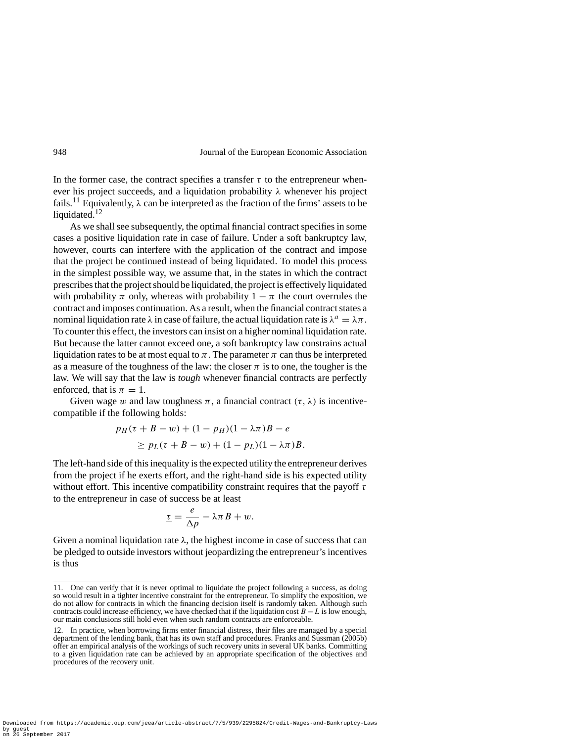In the former case, the contract specifies a transfer  $\tau$  to the entrepreneur whenever his project succeeds, and a liquidation probability *λ* whenever his project fails.<sup>11</sup> Equivalently,  $\lambda$  can be interpreted as the fraction of the firms' assets to be liquidated. $12$ 

As we shall see subsequently, the optimal financial contract specifies in some cases a positive liquidation rate in case of failure. Under a soft bankruptcy law, however, courts can interfere with the application of the contract and impose that the project be continued instead of being liquidated. To model this process in the simplest possible way, we assume that, in the states in which the contract prescribes that the project should be liquidated, the project is effectively liquidated with probability  $\pi$  only, whereas with probability  $1 - \pi$  the court overrules the contract and imposes continuation. As a result, when the financial contract states a nominal liquidation rate  $\lambda$  in case of failure, the actual liquidation rate is  $\lambda^a = \lambda \pi$ . To counter this effect, the investors can insist on a higher nominal liquidation rate. But because the latter cannot exceed one, a soft bankruptcy law constrains actual liquidation rates to be at most equal to  $\pi$ . The parameter  $\pi$  can thus be interpreted as a measure of the toughness of the law: the closer  $\pi$  is to one, the tougher is the law. We will say that the law is *tough* whenever financial contracts are perfectly enforced, that is  $\pi = 1$ .

Given wage *w* and law toughness  $\pi$ , a financial contract  $(\tau, \lambda)$  is incentivecompatible if the following holds:

$$
p_H(\tau + B - w) + (1 - p_H)(1 - \lambda \pi)B - e
$$
  
\n
$$
\geq p_L(\tau + B - w) + (1 - p_L)(1 - \lambda \pi)B.
$$

The left-hand side of this inequality is the expected utility the entrepreneur derives from the project if he exerts effort, and the right-hand side is his expected utility without effort. This incentive compatibility constraint requires that the payoff *τ* to the entrepreneur in case of success be at least

$$
\underline{\tau} = \frac{e}{\Delta p} - \lambda \pi B + w.
$$

Given a nominal liquidation rate  $\lambda$ , the highest income in case of success that can be pledged to outside investors without jeopardizing the entrepreneur's incentives is thus

<sup>11.</sup> One can verify that it is never optimal to liquidate the project following a success, as doing so would result in a tighter incentive constraint for the entrepreneur. To simplify the exposition, we do not allow for contracts in which the financing decision itself is randomly taken. Although such contracts could increase efficiency, we have checked that if the liquidation cost  $B - L$  is low enough, our main conclusions still hold even when such random contracts are enforceable.

<sup>12.</sup> In practice, when borrowing firms enter financial distress, their files are managed by a special department of the lending bank, that has its own staff and procedures. Franks and Sussman (2005b) offer an empirical analysis of the workings of such recovery units in several UK banks. Committing to a given liquidation rate can be achieved by an appropriate specification of the objectives and procedures of the recovery unit.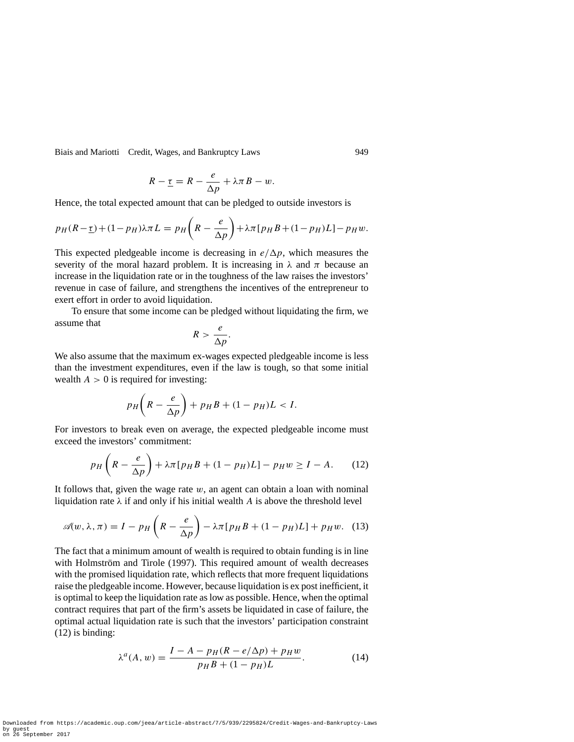Biais and Mariotti Credit, Wages, and Bankruptcy Laws 949

$$
R - \underline{\tau} = R - \frac{e}{\Delta p} + \lambda \pi B - w.
$$

Hence, the total expected amount that can be pledged to outside investors is

$$
p_H(R - \underline{\tau}) + (1 - p_H)\lambda \pi L = p_H\left(R - \frac{e}{\Delta p}\right) + \lambda \pi \left[p_H B + (1 - p_H)L\right] - p_H w.
$$

This expected pledgeable income is decreasing in  $e/\Delta p$ , which measures the severity of the moral hazard problem. It is increasing in  $\lambda$  and  $\pi$  because an increase in the liquidation rate or in the toughness of the law raises the investors' revenue in case of failure, and strengthens the incentives of the entrepreneur to exert effort in order to avoid liquidation.

To ensure that some income can be pledged without liquidating the firm, we assume that

$$
R > \frac{e}{\Delta p}.
$$

We also assume that the maximum ex-wages expected pledgeable income is less than the investment expenditures, even if the law is tough, so that some initial wealth  $A > 0$  is required for investing:

$$
p_H\bigg(R-\frac{e}{\Delta p}\bigg)+p_HB+(1-p_H)L < I.
$$

For investors to break even on average, the expected pledgeable income must exceed the investors' commitment:

$$
p_H\left(R - \frac{e}{\Delta p}\right) + \lambda \pi \left[p_H B + (1 - p_H)L\right] - p_H w \ge I - A. \tag{12}
$$

It follows that, given the wage rate *w*, an agent can obtain a loan with nominal liquidation rate *λ* if and only if his initial wealth *A* is above the threshold level

$$
\mathscr{A}(w,\lambda,\pi) = I - p_H\left(R - \frac{e}{\Delta p}\right) - \lambda \pi \left[p_H B + (1 - p_H)L\right] + p_H w. \tag{13}
$$

The fact that a minimum amount of wealth is required to obtain funding is in line with Holmström and Tirole (1997). This required amount of wealth decreases with the promised liquidation rate, which reflects that more frequent liquidations raise the pledgeable income. However, because liquidation is ex post inefficient, it is optimal to keep the liquidation rate as low as possible. Hence, when the optimal contract requires that part of the firm's assets be liquidated in case of failure, the optimal actual liquidation rate is such that the investors' participation constraint (12) is binding:

$$
\lambda^{a}(A, w) = \frac{I - A - p_{H}(R - e/\Delta p) + p_{H}w}{p_{H}B + (1 - p_{H})L}.
$$
 (14)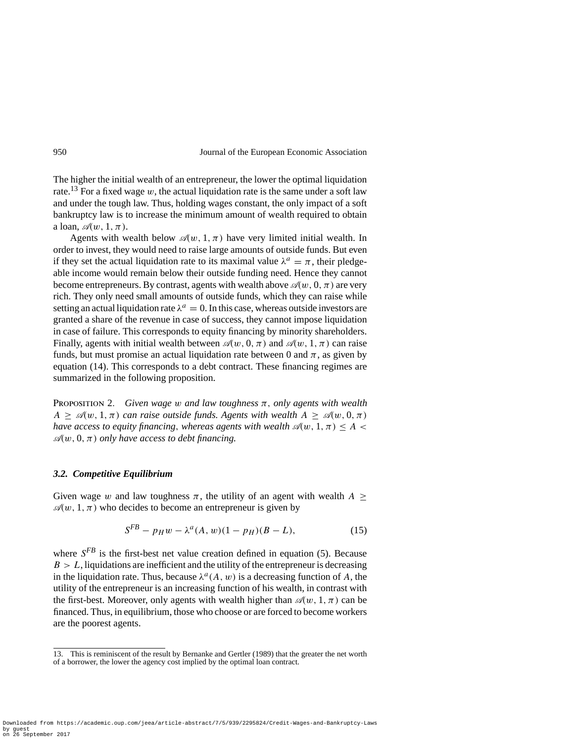The higher the initial wealth of an entrepreneur, the lower the optimal liquidation rate.<sup>13</sup> For a fixed wage  $w$ , the actual liquidation rate is the same under a soft law and under the tough law. Thus, holding wages constant, the only impact of a soft bankruptcy law is to increase the minimum amount of wealth required to obtain a loan,  $\mathscr{A}(w, 1, \pi)$ .

Agents with wealth below  $\mathcal{A}(w, 1, \pi)$  have very limited initial wealth. In order to invest, they would need to raise large amounts of outside funds. But even if they set the actual liquidation rate to its maximal value  $\lambda^a = \pi$ , their pledgeable income would remain below their outside funding need. Hence they cannot become entrepreneurs. By contrast, agents with wealth above  $\mathscr{A}(w, 0, \pi)$  are very rich. They only need small amounts of outside funds, which they can raise while setting an actual liquidation rate  $\lambda^a = 0$ . In this case, whereas outside investors are granted a share of the revenue in case of success, they cannot impose liquidation in case of failure. This corresponds to equity financing by minority shareholders. Finally, agents with initial wealth between  $\mathcal{A}(w, 0, \pi)$  and  $\mathcal{A}(w, 1, \pi)$  can raise funds, but must promise an actual liquidation rate between 0 and  $\pi$ , as given by equation (14). This corresponds to a debt contract. These financing regimes are summarized in the following proposition.

PROPOSITION 2. *Given wage w and law toughness*  $\pi$ *, only agents with wealth*  $A \geq \mathcal{A}(w, 1, \pi)$  *can raise outside funds. Agents with wealth*  $A \geq \mathcal{A}(w, 0, \pi)$ *have access to equity financing, whereas agents with wealth*  $\mathscr{A}(w, 1, \pi) \leq A$  $\mathcal{A}(w, 0, \pi)$  *only have access to debt financing.* 

#### *3.2. Competitive Equilibrium*

Given wage *w* and law toughness  $\pi$ , the utility of an agent with wealth  $A \geq$  $\mathcal{A}(w, 1, \pi)$  who decides to become an entrepreneur is given by

$$
S^{FB} - p_H w - \lambda^a (A, w)(1 - p_H)(B - L), \qquad (15)
$$

where  $S^{FB}$  is the first-best net value creation defined in equation (5). Because  $B > L$ , liquidations are inefficient and the utility of the entrepreneur is decreasing in the liquidation rate. Thus, because  $\lambda^a(A, w)$  is a decreasing function of A, the utility of the entrepreneur is an increasing function of his wealth, in contrast with the first-best. Moreover, only agents with wealth higher than  $\mathcal{A}(w, 1, \pi)$  can be financed. Thus, in equilibrium, those who choose or are forced to become workers are the poorest agents.

<sup>13.</sup> This is reminiscent of the result by Bernanke and Gertler (1989) that the greater the net worth of a borrower, the lower the agency cost implied by the optimal loan contract.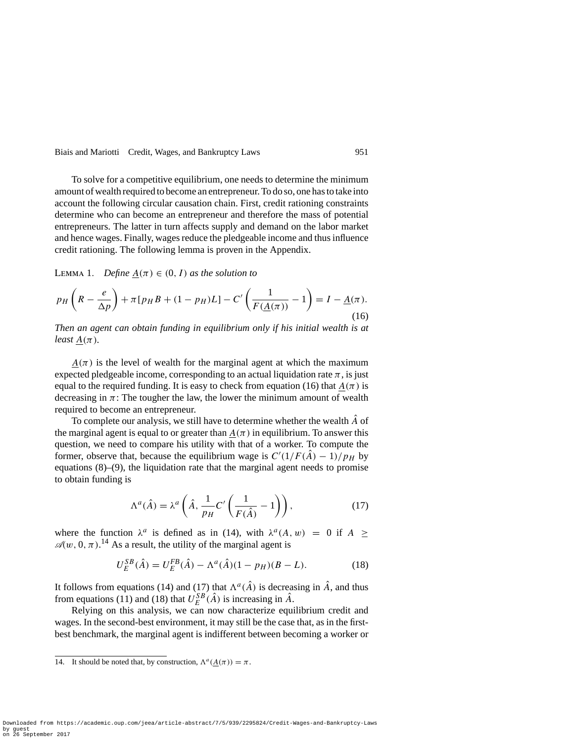To solve for a competitive equilibrium, one needs to determine the minimum amount of wealth required to become an entrepreneur. To do so, one has to take into account the following circular causation chain. First, credit rationing constraints determine who can become an entrepreneur and therefore the mass of potential entrepreneurs. The latter in turn affects supply and demand on the labor market and hence wages. Finally, wages reduce the pledgeable income and thus influence credit rationing. The following lemma is proven in the Appendix.

LEMMA 1. *Define*  $A(\pi) \in (0, I)$  *as the solution to* 

$$
p_H\left(R - \frac{e}{\Delta p}\right) + \pi[p_H B + (1 - p_H)L] - C'\left(\frac{1}{F(\underline{A}(\pi))} - 1\right) = I - \underline{A}(\pi).
$$
\n(16)

*Then an agent can obtain funding in equilibrium only if his initial wealth is at least*  $A(\pi)$ *.* 

 $A(\pi)$  is the level of wealth for the marginal agent at which the maximum expected pledgeable income, corresponding to an actual liquidation rate  $\pi$ , is just equal to the required funding. It is easy to check from equation (16) that  $A(\pi)$  is decreasing in  $\pi$ : The tougher the law, the lower the minimum amount of wealth required to become an entrepreneur.

To complete our analysis, we still have to determine whether the wealth  $\hat{A}$  of the marginal agent is equal to or greater than  $A(\pi)$  in equilibrium. To answer this question, we need to compare his utility with that of a worker. To compute the former, observe that, because the equilibrium wage is  $C'(1/F(A) - 1)/p_H$  by equations (8)–(9), the liquidation rate that the marginal agent needs to promise to obtain funding is

$$
\Lambda^{a}(\hat{A}) = \lambda^{a} \left( \hat{A}, \frac{1}{p_{H}} C' \left( \frac{1}{F(\hat{A})} - 1 \right) \right), \tag{17}
$$

where the function  $\lambda^a$  is defined as in (14), with  $\lambda^a(A, w) = 0$  if  $A >$  $\mathcal{A}(w, 0, \pi)$ .<sup>14</sup> As a result, the utility of the marginal agent is

$$
U_E^{SB}(\hat{A}) = U_E^{FB}(\hat{A}) - \Lambda^a(\hat{A})(1 - p_H)(B - L). \tag{18}
$$

It follows from equations (14) and (17) that  $\Lambda^a(\hat{A})$  is decreasing in  $\hat{A}$ , and thus from equations (11) and (18) that  $U_E^{SB}(\hat{A})$  is increasing in  $\hat{A}$ .

Relying on this analysis, we can now characterize equilibrium credit and wages. In the second-best environment, it may still be the case that, as in the firstbest benchmark, the marginal agent is indifferent between becoming a worker or

<sup>14.</sup> It should be noted that, by construction,  $\Lambda^a(A(\pi)) = \pi$ .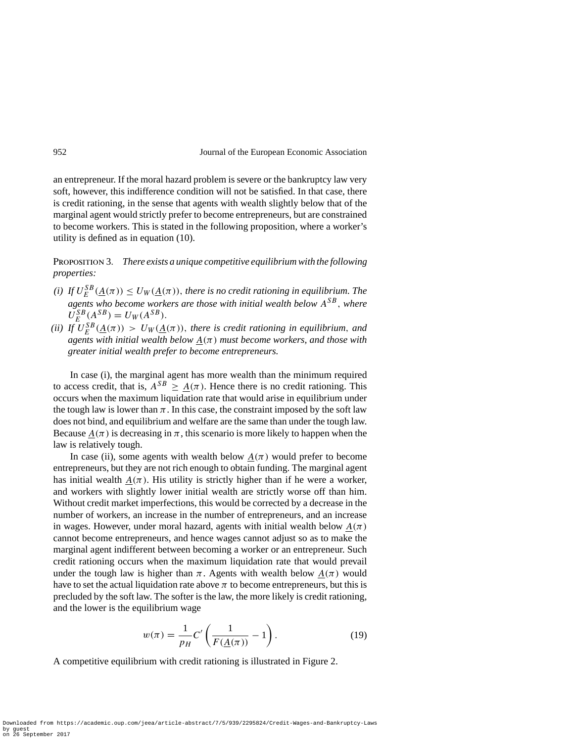an entrepreneur. If the moral hazard problem is severe or the bankruptcy law very soft, however, this indifference condition will not be satisfied. In that case, there is credit rationing, in the sense that agents with wealth slightly below that of the marginal agent would strictly prefer to become entrepreneurs, but are constrained to become workers. This is stated in the following proposition, where a worker's utility is defined as in equation (10).

Proposition 3. *There exists a unique competitive equilibrium with the following properties:*

- *(i) If*  $U_E^{SB}(\underline{A}(\pi)) \le U_W(\underline{A}(\pi))$ , *there is no credit rationing in equilibrium. The agents who become workers are those with initial wealth below ASB, where*  $U_E^{SB}(A^{SB}) = U_W(A^{SB}).$
- *(ii) If*  $U_E^{SB}(\underline{A}(\pi)) > U_W(\underline{A}(\pi))$ , there is credit rationing in equilibrium, and *agents with initial wealth below A(π) must become workers, and those with greater initial wealth prefer to become entrepreneurs.*

In case (i), the marginal agent has more wealth than the minimum required to access credit, that is,  $A^{SB} \geq A(\pi)$ . Hence there is no credit rationing. This occurs when the maximum liquidation rate that would arise in equilibrium under the tough law is lower than  $\pi$ . In this case, the constraint imposed by the soft law does not bind, and equilibrium and welfare are the same than under the tough law. Because  $A(\pi)$  is decreasing in  $\pi$ , this scenario is more likely to happen when the law is relatively tough.

In case (ii), some agents with wealth below  $A(\pi)$  would prefer to become entrepreneurs, but they are not rich enough to obtain funding. The marginal agent has initial wealth  $A(\pi)$ . His utility is strictly higher than if he were a worker, and workers with slightly lower initial wealth are strictly worse off than him. Without credit market imperfections, this would be corrected by a decrease in the number of workers, an increase in the number of entrepreneurs, and an increase in wages. However, under moral hazard, agents with initial wealth below  $A(\pi)$ cannot become entrepreneurs, and hence wages cannot adjust so as to make the marginal agent indifferent between becoming a worker or an entrepreneur. Such credit rationing occurs when the maximum liquidation rate that would prevail under the tough law is higher than  $\pi$ . Agents with wealth below  $A(\pi)$  would have to set the actual liquidation rate above  $\pi$  to become entrepreneurs, but this is precluded by the soft law. The softer is the law, the more likely is credit rationing, and the lower is the equilibrium wage

$$
w(\pi) = \frac{1}{p_H} C' \left( \frac{1}{F(\underline{A}(\pi))} - 1 \right). \tag{19}
$$

A competitive equilibrium with credit rationing is illustrated in Figure 2.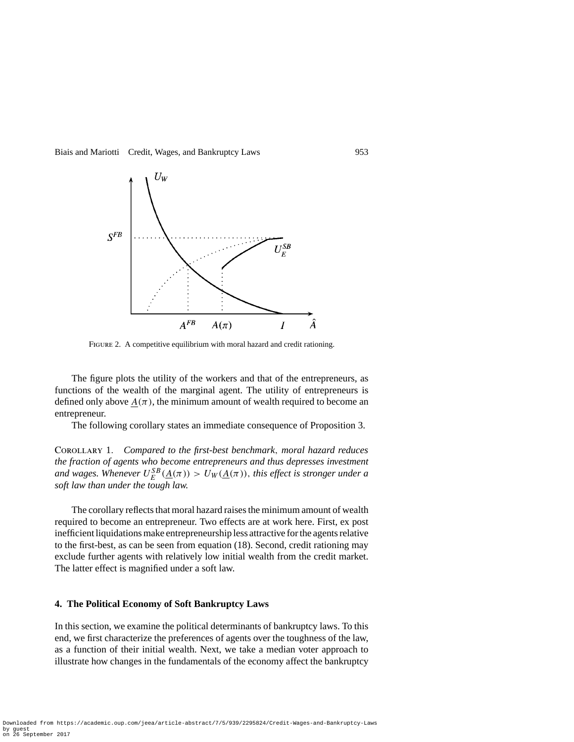

FIGURE 2. A competitive equilibrium with moral hazard and credit rationing.

The figure plots the utility of the workers and that of the entrepreneurs, as functions of the wealth of the marginal agent. The utility of entrepreneurs is defined only above  $A(\pi)$ , the minimum amount of wealth required to become an entrepreneur.

The following corollary states an immediate consequence of Proposition 3.

Corollary 1. *Compared to the first-best benchmark, moral hazard reduces the fraction of agents who become entrepreneurs and thus depresses investment and wages. Whenever*  $U_E^{SB}(\underline{A}(\pi)) > U_W(\underline{A}(\pi))$ , *this effect is stronger under a soft law than under the tough law.*

The corollary reflects that moral hazard raises the minimum amount of wealth required to become an entrepreneur. Two effects are at work here. First, ex post inefficient liquidations make entrepreneurship less attractive for the agents relative to the first-best, as can be seen from equation (18). Second, credit rationing may exclude further agents with relatively low initial wealth from the credit market. The latter effect is magnified under a soft law.

#### **4. The Political Economy of Soft Bankruptcy Laws**

In this section, we examine the political determinants of bankruptcy laws. To this end, we first characterize the preferences of agents over the toughness of the law, as a function of their initial wealth. Next, we take a median voter approach to illustrate how changes in the fundamentals of the economy affect the bankruptcy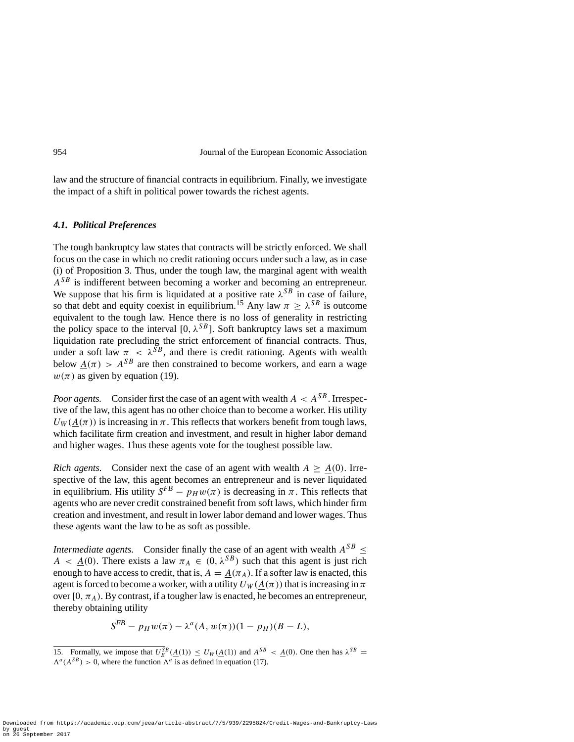law and the structure of financial contracts in equilibrium. Finally, we investigate the impact of a shift in political power towards the richest agents.

#### *4.1. Political Preferences*

The tough bankruptcy law states that contracts will be strictly enforced. We shall focus on the case in which no credit rationing occurs under such a law, as in case (i) of Proposition 3. Thus, under the tough law, the marginal agent with wealth *ASB* is indifferent between becoming a worker and becoming an entrepreneur. We suppose that his firm is liquidated at a positive rate  $\lambda^{SB}$  in case of failure, so that debt and equity coexist in equilibrium.<sup>15</sup> Any law  $\pi \geq \lambda^{SB}$  is outcome equivalent to the tough law. Hence there is no loss of generality in restricting the policy space to the interval [0,  $\lambda^{SB}$ ]. Soft bankruptcy laws set a maximum liquidation rate precluding the strict enforcement of financial contracts. Thus, under a soft law  $\pi < \lambda^{SB}$ , and there is credit rationing. Agents with wealth below  $A(\pi) > A^{SB}$  are then constrained to become workers, and earn a wage  $w(\pi)$  as given by equation (19).

*Poor agents.* Consider first the case of an agent with wealth  $A < A^{SB}$ . Irrespective of the law, this agent has no other choice than to become a worker. His utility  $U_W(A(\pi))$  is increasing in  $\pi$ . This reflects that workers benefit from tough laws, which facilitate firm creation and investment, and result in higher labor demand and higher wages. Thus these agents vote for the toughest possible law.

*Rich agents.* Consider next the case of an agent with wealth  $A > A(0)$ . Irrespective of the law, this agent becomes an entrepreneur and is never liquidated in equilibrium. His utility  $S^{FB} - p_H w(\pi)$  is decreasing in  $\pi$ . This reflects that agents who are never credit constrained benefit from soft laws, which hinder firm creation and investment, and result in lower labor demand and lower wages. Thus these agents want the law to be as soft as possible.

*Intermediate agents.* Consider finally the case of an agent with wealth  $A^{SB} \leq$ *A* < *A*(0*)*. There exists a law  $\pi_A \in (0, \lambda^{SB})$  such that this agent is just rich enough to have access to credit, that is,  $A = A(\pi_A)$ . If a softer law is enacted, this agent is forced to become a worker, with a utility  $U_W(A(\pi))$  that is increasing in  $\pi$ over  $[0, \pi_A)$ . By contrast, if a tougher law is enacted, he becomes an entrepreneur, thereby obtaining utility

$$
S^{FB} - p_H w(\pi) - \lambda^a(A, w(\pi))(1 - p_H)(B - L),
$$

<sup>15.</sup> Formally, we impose that  $U_E^{SB}(\underline{A}(1)) \le U_W(\underline{A}(1))$  and  $A^{SB} < \underline{A}(0)$ . One then has  $\lambda^{SB} =$  $\Lambda^a(A^{SB}) > 0$ , where the function  $\Lambda^a$  is as defined in equation (17).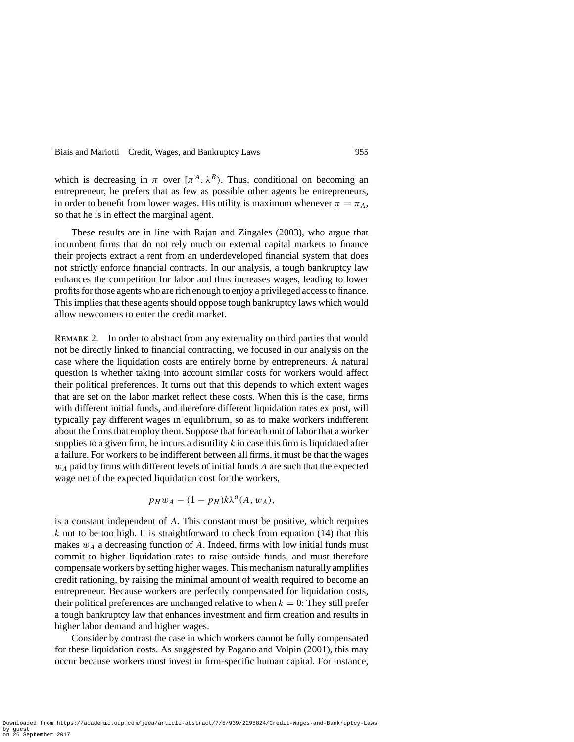which is decreasing in  $\pi$  over  $[\pi^A, \lambda^B]$ . Thus, conditional on becoming an entrepreneur, he prefers that as few as possible other agents be entrepreneurs, in order to benefit from lower wages. His utility is maximum whenever  $\pi = \pi_A$ , so that he is in effect the marginal agent.

These results are in line with Rajan and Zingales (2003), who argue that incumbent firms that do not rely much on external capital markets to finance their projects extract a rent from an underdeveloped financial system that does not strictly enforce financial contracts. In our analysis, a tough bankruptcy law enhances the competition for labor and thus increases wages, leading to lower profits for those agents who are rich enough to enjoy a privileged access to finance. This implies that these agents should oppose tough bankruptcy laws which would allow newcomers to enter the credit market.

Remark 2. In order to abstract from any externality on third parties that would not be directly linked to financial contracting, we focused in our analysis on the case where the liquidation costs are entirely borne by entrepreneurs. A natural question is whether taking into account similar costs for workers would affect their political preferences. It turns out that this depends to which extent wages that are set on the labor market reflect these costs. When this is the case, firms with different initial funds, and therefore different liquidation rates ex post, will typically pay different wages in equilibrium, so as to make workers indifferent about the firms that employ them. Suppose that for each unit of labor that a worker supplies to a given firm, he incurs a disutility  $k$  in case this firm is liquidated after a failure. For workers to be indifferent between all firms, it must be that the wages *wA* paid by firms with different levels of initial funds *A* are such that the expected wage net of the expected liquidation cost for the workers,

$$
p_H w_A - (1 - p_H) k \lambda^a(A, w_A),
$$

is a constant independent of *A*. This constant must be positive, which requires *k* not to be too high. It is straightforward to check from equation (14) that this makes  $w_A$  a decreasing function of  $A$ . Indeed, firms with low initial funds must commit to higher liquidation rates to raise outside funds, and must therefore compensate workers by setting higher wages. This mechanism naturally amplifies credit rationing, by raising the minimal amount of wealth required to become an entrepreneur. Because workers are perfectly compensated for liquidation costs, their political preferences are unchanged relative to when  $k = 0$ : They still prefer a tough bankruptcy law that enhances investment and firm creation and results in higher labor demand and higher wages.

Consider by contrast the case in which workers cannot be fully compensated for these liquidation costs. As suggested by Pagano and Volpin (2001), this may occur because workers must invest in firm-specific human capital. For instance,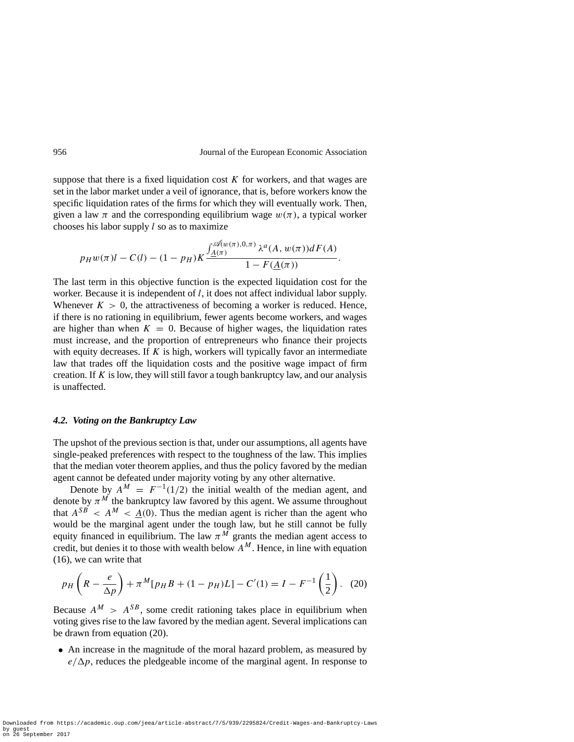suppose that there is a fixed liquidation cost  $K$  for workers, and that wages are set in the labor market under a veil of ignorance, that is, before workers know the specific liquidation rates of the firms for which they will eventually work. Then, given a law  $\pi$  and the corresponding equilibrium wage  $w(\pi)$ , a typical worker chooses his labor supply *l* so as to maximize

$$
p_H w(\pi)l - C(l) - (1 - p_H)K \frac{\int_{\underline{A}(\pi)}^{\mathscr{A}(w(\pi),0,\pi)} \lambda^a(A, w(\pi))dF(A)}{1 - F(\underline{A}(\pi))}.
$$

The last term in this objective function is the expected liquidation cost for the worker. Because it is independent of *l*, it does not affect individual labor supply. Whenever  $K > 0$ , the attractiveness of becoming a worker is reduced. Hence, if there is no rationing in equilibrium, fewer agents become workers, and wages are higher than when  $K = 0$ . Because of higher wages, the liquidation rates must increase, and the proportion of entrepreneurs who finance their projects with equity decreases. If *K* is high, workers will typically favor an intermediate law that trades off the liquidation costs and the positive wage impact of firm creation. If *K* is low, they will still favor a tough bankruptcy law, and our analysis is unaffected.

#### *4.2. Voting on the Bankruptcy Law*

The upshot of the previous section is that, under our assumptions, all agents have single-peaked preferences with respect to the toughness of the law. This implies that the median voter theorem applies, and thus the policy favored by the median agent cannot be defeated under majority voting by any other alternative.

Denote by  $A^M = F^{-1}(1/2)$  the initial wealth of the median agent, and denote by  $\pi^M$  the bankruptcy law favored by this agent. We assume throughout that  $A^{SB} < A^M < A(0)$ . Thus the median agent is richer than the agent who would be the marginal agent under the tough law, but he still cannot be fully equity financed in equilibrium. The law  $\pi^M$  grants the median agent access to credit, but denies it to those with wealth below  $A^M$ . Hence, in line with equation (16), we can write that

$$
p_H\left(R - \frac{e}{\Delta p}\right) + \pi^M[p_H B + (1 - p_H)L] - C'(1) = I - F^{-1}\left(\frac{1}{2}\right). \tag{20}
$$

Because  $A^M > A^{SB}$ , some credit rationing takes place in equilibrium when voting gives rise to the law favored by the median agent. Several implications can be drawn from equation (20).

• An increase in the magnitude of the moral hazard problem, as measured by  $e/\Delta p$ , reduces the pledgeable income of the marginal agent. In response to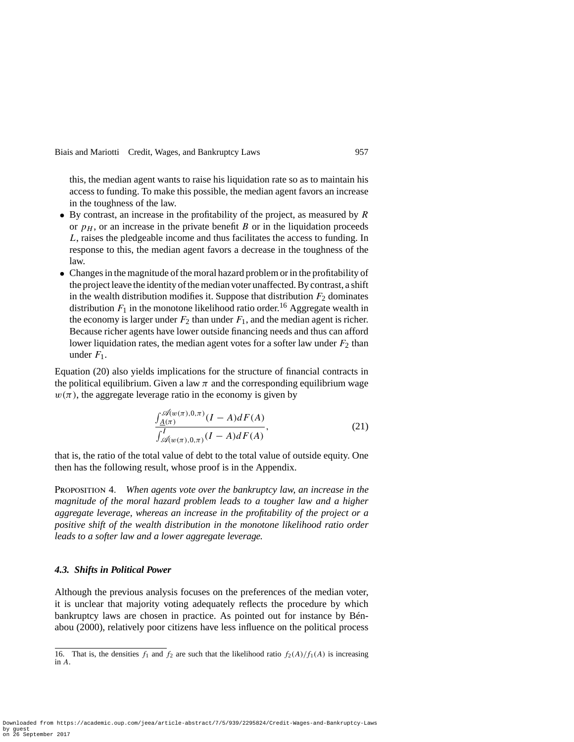this, the median agent wants to raise his liquidation rate so as to maintain his access to funding. To make this possible, the median agent favors an increase in the toughness of the law.

- By contrast, an increase in the profitability of the project, as measured by *R* or  $p<sub>H</sub>$ , or an increase in the private benefit *B* or in the liquidation proceeds *L*, raises the pledgeable income and thus facilitates the access to funding. In response to this, the median agent favors a decrease in the toughness of the law.
- Changes in the magnitude of the moral hazard problem or in the profitability of the project leave the identity of the median voter unaffected. By contrast, a shift in the wealth distribution modifies it. Suppose that distribution  $F<sub>2</sub>$  dominates distribution  $F_1$  in the monotone likelihood ratio order.<sup>16</sup> Aggregate wealth in the economy is larger under  $F_2$  than under  $F_1$ , and the median agent is richer. Because richer agents have lower outside financing needs and thus can afford lower liquidation rates, the median agent votes for a softer law under  $F_2$  than under  $F_1$ .

Equation (20) also yields implications for the structure of financial contracts in the political equilibrium. Given a law  $\pi$  and the corresponding equilibrium wage  $w(\pi)$ , the aggregate leverage ratio in the economy is given by

$$
\frac{\int_{\underline{A}(\pi)}^{\mathscr{A}(w(\pi),0,\pi)} (I-A)dF(A)}{\int_{\mathscr{A}(w(\pi),0,\pi)}^I (I-A)dF(A)},
$$
\n(21)

that is, the ratio of the total value of debt to the total value of outside equity. One then has the following result, whose proof is in the Appendix.

Proposition 4. *When agents vote over the bankruptcy law, an increase in the magnitude of the moral hazard problem leads to a tougher law and a higher aggregate leverage, whereas an increase in the profitability of the project or a positive shift of the wealth distribution in the monotone likelihood ratio order leads to a softer law and a lower aggregate leverage.*

#### *4.3. Shifts in Political Power*

Although the previous analysis focuses on the preferences of the median voter, it is unclear that majority voting adequately reflects the procedure by which bankruptcy laws are chosen in practice. As pointed out for instance by Bénabou (2000), relatively poor citizens have less influence on the political process

<sup>16.</sup> That is, the densities  $f_1$  and  $f_2$  are such that the likelihood ratio  $f_2(A)/f_1(A)$  is increasing in *A*.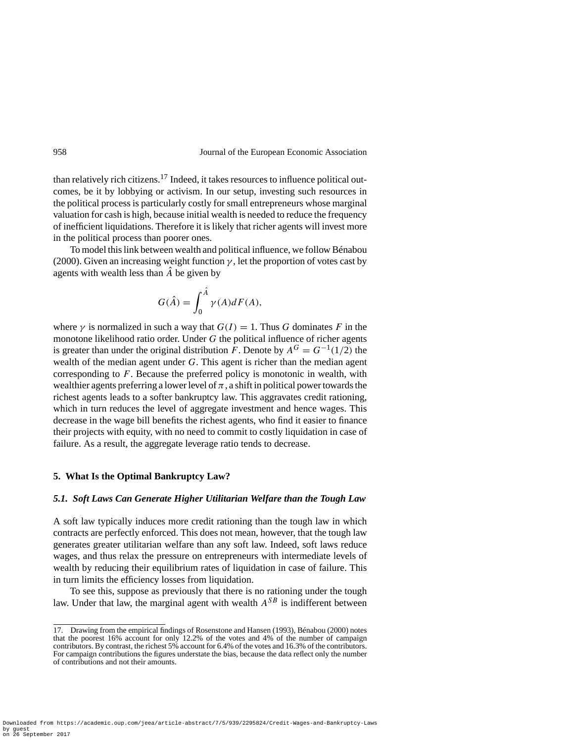than relatively rich citizens.<sup>17</sup> Indeed, it takes resources to influence political outcomes, be it by lobbying or activism. In our setup, investing such resources in the political process is particularly costly for small entrepreneurs whose marginal valuation for cash is high, because initial wealth is needed to reduce the frequency of inefficient liquidations. Therefore it is likely that richer agents will invest more in the political process than poorer ones.

To model this link between wealth and political influence, we follow Bénabou (2000). Given an increasing weight function  $\gamma$ , let the proportion of votes cast by agents with wealth less than  $\hat{A}$  be given by

$$
G(\hat{A}) = \int_0^{\hat{A}} \gamma(A)dF(A),
$$

where  $\gamma$  is normalized in such a way that  $G(I) = 1$ . Thus *G* dominates *F* in the monotone likelihood ratio order. Under *G* the political influence of richer agents is greater than under the original distribution *F*. Denote by  $A^G = G^{-1}(1/2)$  the wealth of the median agent under *G*. This agent is richer than the median agent corresponding to *F*. Because the preferred policy is monotonic in wealth, with wealthier agents preferring a lower level of  $\pi$ , a shift in political power towards the richest agents leads to a softer bankruptcy law. This aggravates credit rationing, which in turn reduces the level of aggregate investment and hence wages. This decrease in the wage bill benefits the richest agents, who find it easier to finance their projects with equity, with no need to commit to costly liquidation in case of failure. As a result, the aggregate leverage ratio tends to decrease.

#### **5. What Is the Optimal Bankruptcy Law?**

#### *5.1. Soft Laws Can Generate Higher Utilitarian Welfare than the Tough Law*

A soft law typically induces more credit rationing than the tough law in which contracts are perfectly enforced. This does not mean, however, that the tough law generates greater utilitarian welfare than any soft law. Indeed, soft laws reduce wages, and thus relax the pressure on entrepreneurs with intermediate levels of wealth by reducing their equilibrium rates of liquidation in case of failure. This in turn limits the efficiency losses from liquidation.

To see this, suppose as previously that there is no rationing under the tough law. Under that law, the marginal agent with wealth  $A^{SB}$  is indifferent between

<sup>17.</sup> Drawing from the empirical findings of Rosenstone and Hansen (1993), Bénabou (2000) notes that the poorest 16% account for only 12.2% of the votes and 4% of the number of campaign contributors. By contrast, the richest 5% account for 6.4% of the votes and 16.3% of the contributors. For campaign contributions the figures understate the bias, because the data reflect only the number of contributions and not their amounts.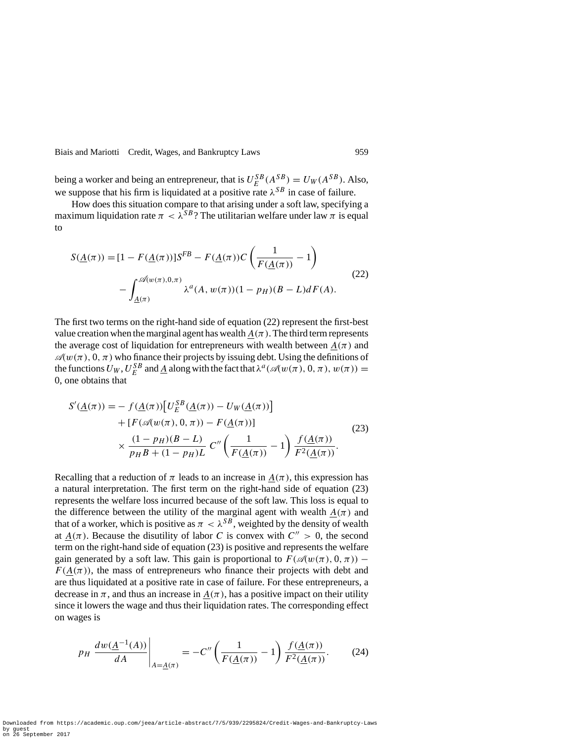being a worker and being an entrepreneur, that is  $U_E^{SB}(A_{\text{S}}^{SB}) = U_W(A^{SB})$ . Also, we suppose that his firm is liquidated at a positive rate  $\lambda^{SB}$  in case of failure.

How does this situation compare to that arising under a soft law, specifying a maximum liquidation rate  $\pi < \lambda^{SB}$ ? The utilitarian welfare under law  $\pi$  is equal to

$$
S(\underline{A}(\pi)) = [1 - F(\underline{A}(\pi))]S^{FB} - F(\underline{A}(\pi))C\left(\frac{1}{F(\underline{A}(\pi))} - 1\right) - \int_{\underline{A}(\pi)}^{\mathscr{A}(w(\pi),0,\pi)} \lambda^{a}(A, w(\pi))(1 - p_{H})(B - L)dF(A).
$$
\n(22)

The first two terms on the right-hand side of equation (22) represent the first-best value creation when the marginal agent has wealth  $A(\pi)$ . The third term represents the average cost of liquidation for entrepreneurs with wealth between  $A(\pi)$  and  $\mathcal{A}(w(\pi), 0, \pi)$  who finance their projects by issuing debt. Using the definitions of the functions  $U_W$ ,  $U_E^{SB}$  and  $\underline{A}$  along with the fact that  $\lambda^a(\mathcal{A}(w(\pi), 0, \pi), w(\pi)) =$ 0, one obtains that

$$
S'(\underline{A}(\pi)) = - f(\underline{A}(\pi)) [U_E^{SB}(\underline{A}(\pi)) - U_W(\underline{A}(\pi))]
$$
  
+ 
$$
[F(\mathscr{A}(w(\pi), 0, \pi)) - F(\underline{A}(\pi))]
$$
  

$$
\times \frac{(1 - p_H)(B - L)}{p_H B + (1 - p_H)L} C'' \left(\frac{1}{F(\underline{A}(\pi))} - 1\right) \frac{f(\underline{A}(\pi))}{F^2(\underline{A}(\pi))}.
$$
 (23)

Recalling that a reduction of  $\pi$  leads to an increase in  $\underline{A}(\pi)$ , this expression has a natural interpretation. The first term on the right-hand side of equation (23) represents the welfare loss incurred because of the soft law. This loss is equal to the difference between the utility of the marginal agent with wealth  $A(\pi)$  and that of a worker, which is positive as  $\pi < \lambda^{SB}$ , weighted by the density of wealth at  $A(\pi)$ . Because the disutility of labor *C* is convex with  $C'' > 0$ , the second term on the right-hand side of equation (23) is positive and represents the welfare gain generated by a soft law. This gain is proportional to  $F(\mathscr{A}(w(\pi), 0, \pi))$  –  $F(A(\pi))$ , the mass of entrepreneurs who finance their projects with debt and are thus liquidated at a positive rate in case of failure. For these entrepreneurs, a decrease in  $\pi$ , and thus an increase in  $A(\pi)$ , has a positive impact on their utility since it lowers the wage and thus their liquidation rates. The corresponding effect on wages is

$$
p_H \left. \frac{dw(\underline{A}^{-1}(A))}{dA} \right|_{A = \underline{A}(\pi)} = -C'' \left( \frac{1}{F(\underline{A}(\pi))} - 1 \right) \frac{f(\underline{A}(\pi))}{F^2(\underline{A}(\pi))}.
$$
 (24)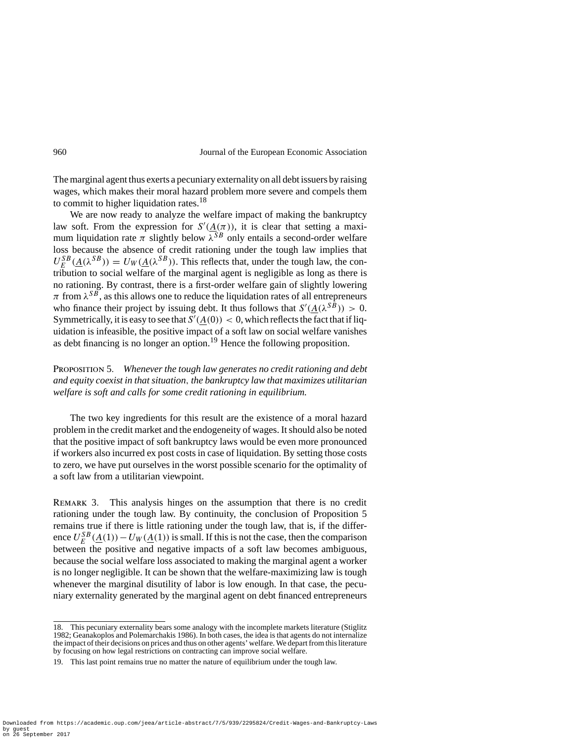The marginal agent thus exerts a pecuniary externality on all debt issuers by raising wages, which makes their moral hazard problem more severe and compels them to commit to higher liquidation rates.<sup>18</sup>

We are now ready to analyze the welfare impact of making the bankruptcy law soft. From the expression for  $S'(\underline{A}(\pi))$ , it is clear that setting a maximum liquidation rate  $\pi$  slightly below  $\lambda^{SB}$  only entails a second-order welfare loss because the absence of credit rationing under the tough law implies that  $U_E^{SB}(\underline{A}(\lambda^{SB})) = U_W(\underline{A}(\lambda^{SB}))$ . This reflects that, under the tough law, the contribution to social welfare of the marginal agent is negligible as long as there is no rationing. By contrast, there is a first-order welfare gain of slightly lowering  $π$  from  $λ^{SB}$ , as this allows one to reduce the liquidation rates of all entrepreneurs who finance their project by issuing debt. It thus follows that  $S'(\underline{A}(\lambda^{SB})) > 0$ . Symmetrically, it is easy to see that  $S'(\underline{A}(0)) < 0$ , which reflects the fact that if liquidation is infeasible, the positive impact of a soft law on social welfare vanishes as debt financing is no longer an option.<sup>19</sup> Hence the following proposition.

Proposition 5. *Whenever the tough law generates no credit rationing and debt and equity coexist in that situation, the bankruptcy law that maximizes utilitarian welfare is soft and calls for some credit rationing in equilibrium.*

The two key ingredients for this result are the existence of a moral hazard problem in the credit market and the endogeneity of wages. It should also be noted that the positive impact of soft bankruptcy laws would be even more pronounced if workers also incurred ex post costs in case of liquidation. By setting those costs to zero, we have put ourselves in the worst possible scenario for the optimality of a soft law from a utilitarian viewpoint.

REMARK 3. This analysis hinges on the assumption that there is no credit rationing under the tough law. By continuity, the conclusion of Proposition 5 remains true if there is little rationing under the tough law, that is, if the difference  $U_E^{SB}(\underline{A}(1)) - U_W(\underline{A}(1))$  is small. If this is not the case, then the comparison between the positive and negative impacts of a soft law becomes ambiguous, because the social welfare loss associated to making the marginal agent a worker is no longer negligible. It can be shown that the welfare-maximizing law is tough whenever the marginal disutility of labor is low enough. In that case, the pecuniary externality generated by the marginal agent on debt financed entrepreneurs

<sup>18.</sup> This pecuniary externality bears some analogy with the incomplete markets literature (Stiglitz 1982; Geanakoplos and Polemarchakis 1986). In both cases, the idea is that agents do not internalize the impact of their decisions on prices and thus on other agents' welfare. We depart from this literature by focusing on how legal restrictions on contracting can improve social welfare.

<sup>19.</sup> This last point remains true no matter the nature of equilibrium under the tough law.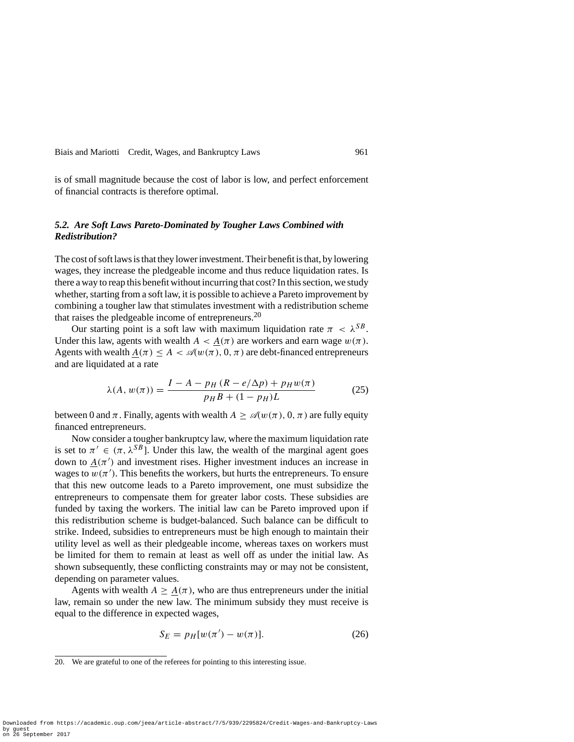is of small magnitude because the cost of labor is low, and perfect enforcement of financial contracts is therefore optimal.

#### *5.2. Are Soft Laws Pareto-Dominated by Tougher Laws Combined with Redistribution?*

The cost of soft laws is that they lower investment. Their benefit is that, by lowering wages, they increase the pledgeable income and thus reduce liquidation rates. Is there a way to reap this benefit without incurring that cost? In this section, we study whether, starting from a soft law, it is possible to achieve a Pareto improvement by combining a tougher law that stimulates investment with a redistribution scheme that raises the pledgeable income of entrepreneurs.<sup>20</sup>

Our starting point is a soft law with maximum liquidation rate  $\pi < \lambda^{SB}$ . Under this law, agents with wealth  $A < A(\pi)$  are workers and earn wage  $w(\pi)$ . Agents with wealth  $A(\pi) \leq A < \mathcal{A}(w(\pi), 0, \pi)$  are debt-financed entrepreneurs and are liquidated at a rate

$$
\lambda(A, w(\pi)) = \frac{I - A - p_H (R - e/\Delta p) + p_H w(\pi)}{p_H B + (1 - p_H)L}
$$
(25)

between 0 and  $\pi$ . Finally, agents with wealth  $A \geq \mathcal{A}(w(\pi), 0, \pi)$  are fully equity financed entrepreneurs.

Now consider a tougher bankruptcy law, where the maximum liquidation rate is set to  $\pi' \in (\pi, \lambda^{SB})$ . Under this law, the wealth of the marginal agent goes down to  $\underline{A}(\pi')$  and investment rises. Higher investment induces an increase in wages to  $w(\pi')$ . This benefits the workers, but hurts the entrepreneurs. To ensure that this new outcome leads to a Pareto improvement, one must subsidize the entrepreneurs to compensate them for greater labor costs. These subsidies are funded by taxing the workers. The initial law can be Pareto improved upon if this redistribution scheme is budget-balanced. Such balance can be difficult to strike. Indeed, subsidies to entrepreneurs must be high enough to maintain their utility level as well as their pledgeable income, whereas taxes on workers must be limited for them to remain at least as well off as under the initial law. As shown subsequently, these conflicting constraints may or may not be consistent, depending on parameter values.

Agents with wealth  $A \geq \underline{A}(\pi)$ , who are thus entrepreneurs under the initial law, remain so under the new law. The minimum subsidy they must receive is equal to the difference in expected wages,

$$
S_E = p_H[w(\pi') - w(\pi)].
$$
 (26)

<sup>20.</sup> We are grateful to one of the referees for pointing to this interesting issue.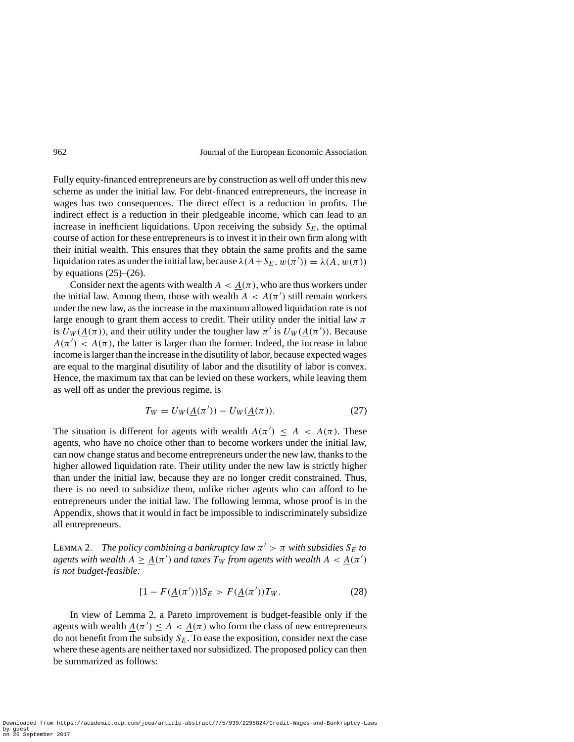Fully equity-financed entrepreneurs are by construction as well off under this new scheme as under the initial law. For debt-financed entrepreneurs, the increase in wages has two consequences. The direct effect is a reduction in profits. The indirect effect is a reduction in their pledgeable income, which can lead to an increase in inefficient liquidations. Upon receiving the subsidy  $S_F$ , the optimal course of action for these entrepreneurs is to invest it in their own firm along with their initial wealth. This ensures that they obtain the same profits and the same liquidation rates as under the initial law, because  $\lambda(A+S_E, w(\pi')) = \lambda(A, w(\pi))$ by equations  $(25)$ – $(26)$ .

Consider next the agents with wealth  $A < A(\pi)$ , who are thus workers under the initial law. Among them, those with wealth  $A < \underline{A}(\pi')$  still remain workers under the new law, as the increase in the maximum allowed liquidation rate is not large enough to grant them access to credit. Their utility under the initial law *π* is  $U_W(\underline{A}(\pi))$ , and their utility under the tougher law  $\pi'$  is  $U_W(\underline{A}(\pi'))$ . Because  $A(\pi') < A(\pi)$ , the latter is larger than the former. Indeed, the increase in labor income is larger than the increase in the disutility of labor, because expected wages are equal to the marginal disutility of labor and the disutility of labor is convex. Hence, the maximum tax that can be levied on these workers, while leaving them as well off as under the previous regime, is

$$
T_W = U_W(\underline{A}(\pi')) - U_W(\underline{A}(\pi)).
$$
\n<sup>(27)</sup>

The situation is different for agents with wealth  $\underline{A}(\pi') \leq A < \underline{A}(\pi)$ . These agents, who have no choice other than to become workers under the initial law, can now change status and become entrepreneurs under the new law, thanks to the higher allowed liquidation rate. Their utility under the new law is strictly higher than under the initial law, because they are no longer credit constrained. Thus, there is no need to subsidize them, unlike richer agents who can afford to be entrepreneurs under the initial law. The following lemma, whose proof is in the Appendix, shows that it would in fact be impossible to indiscriminately subsidize all entrepreneurs.

LEMMA 2. *The policy combining a bankruptcy law*  $\pi$ ' >  $\pi$  *with subsidies*  $S_E$  *to agents with wealth*  $A \geq \underline{A}(\pi')$  *and taxes*  $T_W$  *from agents with wealth*  $A < \underline{A}(\pi')$ *is not budget-feasible:*

$$
[1 - F(\underline{A}(\pi'))]S_E > F(\underline{A}(\pi'))T_W.
$$
 (28)

In view of Lemma 2, a Pareto improvement is budget-feasible only if the agents with wealth  $\underline{A}(\pi') \leq A < \underline{A}(\pi)$  who form the class of new entrepreneurs do not benefit from the subsidy  $S_E$ . To ease the exposition, consider next the case where these agents are neither taxed nor subsidized. The proposed policy can then be summarized as follows: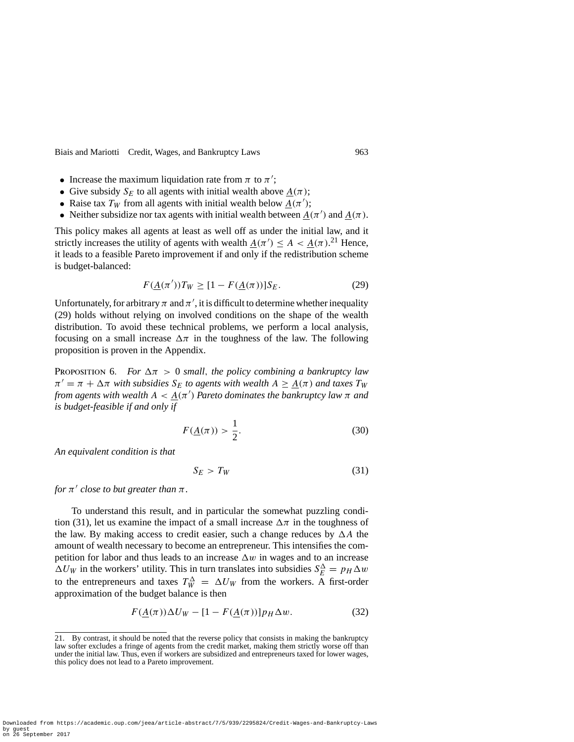- Increase the maximum liquidation rate from  $\pi$  to  $\pi'$ ;
- Give subsidy  $S_E$  to all agents with initial wealth above  $A(\pi)$ ;
- Raise tax  $T_W$  from all agents with initial wealth below  $\underline{A}(\pi')$ ;
- Neither subsidize nor tax agents with initial wealth between  $\underline{A}(\pi')$  and  $\underline{A}(\pi)$ .

This policy makes all agents at least as well off as under the initial law, and it strictly increases the utility of agents with wealth  $\underline{A}(\pi') \le A < \underline{A}(\pi)$ .<sup>21</sup> Hence, it leads to a feasible Pareto improvement if and only if the redistribution scheme is budget-balanced:

$$
F(\underline{A}(\pi'))T_W \ge [1 - F(\underline{A}(\pi))]S_E.
$$
 (29)

Unfortunately, for arbitrary  $\pi$  and  $\pi'$ , it is difficult to determine whether inequality (29) holds without relying on involved conditions on the shape of the wealth distribution. To avoid these technical problems, we perform a local analysis, focusing on a small increase  $\Delta \pi$  in the toughness of the law. The following proposition is proven in the Appendix.

**PROPOSITION 6.** For  $\Delta \pi > 0$  *small, the policy combining a bankruptcy law*  $\pi' = \pi + \Delta \pi$  *with subsidies*  $S_E$  *to agents with wealth*  $A \geq \underline{A}(\pi)$  *and taxes*  $T_W$ *from agents with wealth*  $A < \underline{A}(\pi')$  *Pareto dominates the bankruptcy law*  $\pi$  *and is budget-feasible if and only if*

$$
F(\underline{A}(\pi)) > \frac{1}{2}.\tag{30}
$$

*An equivalent condition is that*

$$
S_E > T_W \tag{31}
$$

*for*  $\pi'$  *close to but greater than*  $\pi$ *.* 

To understand this result, and in particular the somewhat puzzling condition (31), let us examine the impact of a small increase  $\Delta \pi$  in the toughness of the law. By making access to credit easier, such a change reduces by  $\Delta A$  the amount of wealth necessary to become an entrepreneur. This intensifies the competition for labor and thus leads to an increase  $\Delta w$  in wages and to an increase  $\Delta U_W$  in the workers' utility. This in turn translates into subsidies  $S_E^{\Delta} = p_H \Delta w$ to the entrepreneurs and taxes  $T_W^{\Delta} = \Delta U_W$  from the workers. A first-order approximation of the budget balance is then

$$
F(\underline{A}(\pi))\Delta U_W - [1 - F(\underline{A}(\pi))]p_H \Delta w.
$$
 (32)

Downloaded from https://academic.oup.com/jeea/article-abstract/7/5/939/2295824/Credit-Wages-and-Bankruptcy-Laws by guest on 26 September 2017

<sup>21.</sup> By contrast, it should be noted that the reverse policy that consists in making the bankruptcy law softer excludes a fringe of agents from the credit market, making them strictly worse off than under the initial law. Thus, even if workers are subsidized and entrepreneurs taxed for lower wages, this policy does not lead to a Pareto improvement.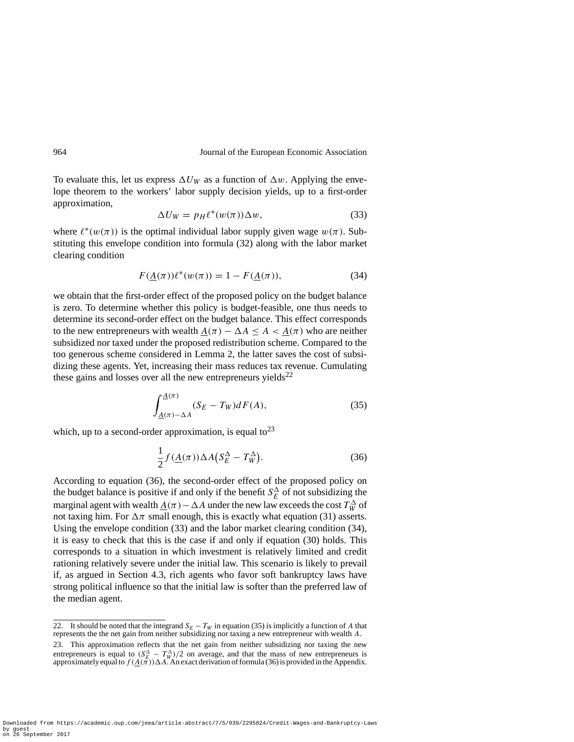To evaluate this, let us express  $\Delta U_W$  as a function of  $\Delta w$ . Applying the envelope theorem to the workers' labor supply decision yields, up to a first-order approximation,

$$
\Delta U_W = p_H \ell^*(w(\pi)) \Delta w, \tag{33}
$$

where  $\ell^*(w(\pi))$  is the optimal individual labor supply given wage  $w(\pi)$ . Substituting this envelope condition into formula (32) along with the labor market clearing condition

$$
F(\underline{A}(\pi))\ell^*(w(\pi)) = 1 - F(\underline{A}(\pi)),\tag{34}
$$

we obtain that the first-order effect of the proposed policy on the budget balance is zero. To determine whether this policy is budget-feasible, one thus needs to determine its second-order effect on the budget balance. This effect corresponds to the new entrepreneurs with wealth  $\underline{A}(\pi) - \Delta A \leq A < \underline{A}(\pi)$  who are neither subsidized nor taxed under the proposed redistribution scheme. Compared to the too generous scheme considered in Lemma 2, the latter saves the cost of subsidizing these agents. Yet, increasing their mass reduces tax revenue. Cumulating these gains and losses over all the new entrepreneurs yields $^{22}$ 

$$
\int_{\underline{A}(\pi)-\Delta A}^{\underline{A}(\pi)} (S_E - T_W) dF(A),\tag{35}
$$

which, up to a second-order approximation, is equal to  $2^3$ 

$$
\frac{1}{2}f(\underline{A}(\pi))\Delta A(S_E^{\Delta} - T_W^{\Delta}).
$$
\n(36)

According to equation (36), the second-order effect of the proposed policy on the budget balance is positive if and only if the benefit  $S_E^{\Delta}$  of not subsidizing the marginal agent with wealth  $\underline{A}(\pi) - \Delta A$  under the new law exceeds the cost  $T_W^{\Delta}$  of not taxing him. For  $\Delta \pi$  small enough, this is exactly what equation (31) asserts. Using the envelope condition (33) and the labor market clearing condition (34), it is easy to check that this is the case if and only if equation (30) holds. This corresponds to a situation in which investment is relatively limited and credit rationing relatively severe under the initial law. This scenario is likely to prevail if, as argued in Section 4.3, rich agents who favor soft bankruptcy laws have strong political influence so that the initial law is softer than the preferred law of the median agent.

<sup>22.</sup> It should be noted that the integrand  $S_E - T_W$  in equation (35) is implicitly a function of *A* that represents the the net gain from neither subsidizing nor taxing a new entrepreneur with wealth *A*.

<sup>23.</sup> This approximation reflects that the net gain from neither subsidizing nor taxing the new entrepreneurs is equal to  $(S_{E}^{\Delta} - T_{W}^{\Delta})/2$  on average, and that the mass of new entrepreneurs is approximately equal to  $f(\underline{A}(\pi))\Delta A$ . An exact derivation of formula (36) is provided in the Appendix.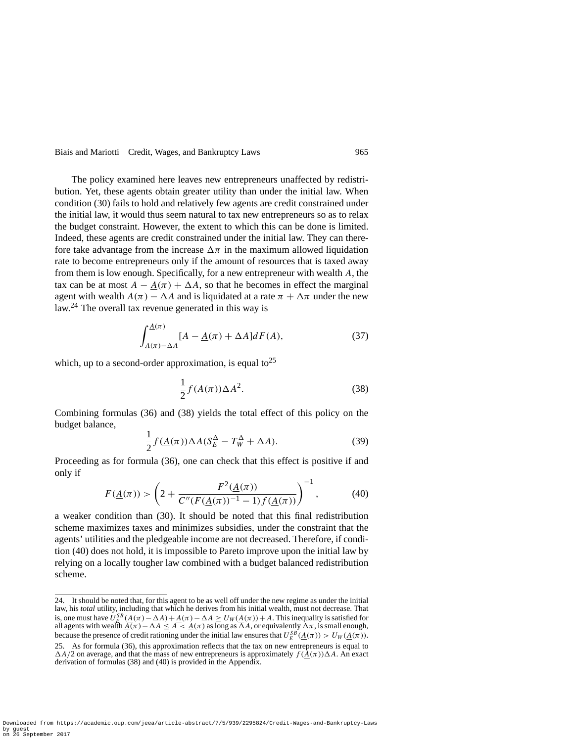The policy examined here leaves new entrepreneurs unaffected by redistribution. Yet, these agents obtain greater utility than under the initial law. When condition (30) fails to hold and relatively few agents are credit constrained under the initial law, it would thus seem natural to tax new entrepreneurs so as to relax the budget constraint. However, the extent to which this can be done is limited. Indeed, these agents are credit constrained under the initial law. They can therefore take advantage from the increase  $\Delta \pi$  in the maximum allowed liquidation rate to become entrepreneurs only if the amount of resources that is taxed away from them is low enough. Specifically, for a new entrepreneur with wealth *A*, the tax can be at most  $A - \underline{A}(\pi) + \Delta A$ , so that he becomes in effect the marginal agent with wealth  $\underline{A}(\pi) - \Delta A$  and is liquidated at a rate  $\pi + \Delta \pi$  under the new law.<sup>24</sup> The overall tax revenue generated in this way is

$$
\int_{\underline{A}(\pi)-\Delta A}^{\underline{A}(\pi)} [A - \underline{A}(\pi) + \Delta A] dF(A), \tag{37}
$$

which, up to a second-order approximation, is equal to<sup>25</sup>

$$
\frac{1}{2}f(\underline{A}(\pi))\Delta A^2.
$$
 (38)

Combining formulas (36) and (38) yields the total effect of this policy on the budget balance,

$$
\frac{1}{2}f(\underline{A}(\pi))\Delta A(S_E^{\Delta} - T_W^{\Delta} + \Delta A). \tag{39}
$$

Proceeding as for formula (36), one can check that this effect is positive if and only if

$$
F(\underline{A}(\pi)) > \left(2 + \frac{F^2(\underline{A}(\pi))}{C''(F(\underline{A}(\pi))^{-1} - 1)f(\underline{A}(\pi))}\right)^{-1},
$$
 (40)

a weaker condition than (30). It should be noted that this final redistribution scheme maximizes taxes and minimizes subsidies, under the constraint that the agents' utilities and the pledgeable income are not decreased. Therefore, if condition (40) does not hold, it is impossible to Pareto improve upon the initial law by relying on a locally tougher law combined with a budget balanced redistribution scheme.

<sup>24.</sup> It should be noted that, for this agent to be as well off under the new regime as under the initial law, his *total* utility, including that which he derives from his initial wealth, must not decrease. That is, one must have  $U_E^{SB}(A(\pi) - \Delta A) + A(\pi) - \Delta A \ge U_W(A(\pi)) + A$ . This inequality is satisfied for all agents with wealth  $\underline{A}(\pi) - \Delta A \leq A < \underline{A}(\pi)$  as long as  $\Delta A$ , or equivalently  $\Delta \pi$ , is small enough, because the presence of credit rationing under the initial law ensures that  $U_E^{SB}(\underline{A}(\pi)) > U_W(\underline{A}(\pi))$ . 25. As for formula (36), this approximation reflects that the tax on new entrepreneurs is equal to  $\Delta A/2$  on average, and that the mass of new entrepreneurs is approximately  $f(\bar{A}(\pi))\Delta A$ . An exact derivation of formulas (38) and (40) is provided in the Appendix.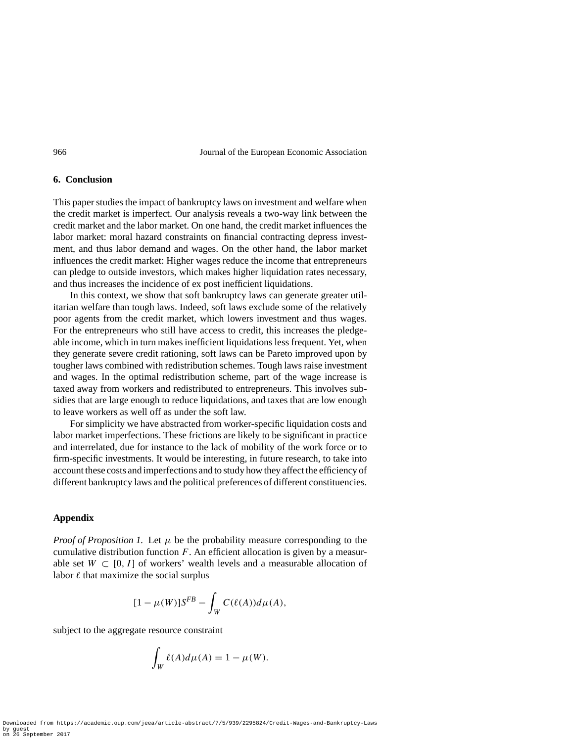#### **6. Conclusion**

This paper studies the impact of bankruptcy laws on investment and welfare when the credit market is imperfect. Our analysis reveals a two-way link between the credit market and the labor market. On one hand, the credit market influences the labor market: moral hazard constraints on financial contracting depress investment, and thus labor demand and wages. On the other hand, the labor market influences the credit market: Higher wages reduce the income that entrepreneurs can pledge to outside investors, which makes higher liquidation rates necessary, and thus increases the incidence of ex post inefficient liquidations.

In this context, we show that soft bankruptcy laws can generate greater utilitarian welfare than tough laws. Indeed, soft laws exclude some of the relatively poor agents from the credit market, which lowers investment and thus wages. For the entrepreneurs who still have access to credit, this increases the pledgeable income, which in turn makes inefficient liquidations less frequent. Yet, when they generate severe credit rationing, soft laws can be Pareto improved upon by tougher laws combined with redistribution schemes. Tough laws raise investment and wages. In the optimal redistribution scheme, part of the wage increase is taxed away from workers and redistributed to entrepreneurs. This involves subsidies that are large enough to reduce liquidations, and taxes that are low enough to leave workers as well off as under the soft law.

For simplicity we have abstracted from worker-specific liquidation costs and labor market imperfections. These frictions are likely to be significant in practice and interrelated, due for instance to the lack of mobility of the work force or to firm-specific investments. It would be interesting, in future research, to take into account these costs and imperfections and to study how they affect the efficiency of different bankruptcy laws and the political preferences of different constituencies.

#### **Appendix**

*Proof of Proposition 1.* Let  $\mu$  be the probability measure corresponding to the cumulative distribution function *F*. An efficient allocation is given by a measurable set  $W \subset [0, 1]$  of workers' wealth levels and a measurable allocation of labor  $\ell$  that maximize the social surplus

$$
[1 - \mu(W)]S^{FB} - \int_W C(\ell(A))d\mu(A),
$$

subject to the aggregate resource constraint

$$
\int_W \ell(A)d\mu(A) = 1 - \mu(W).
$$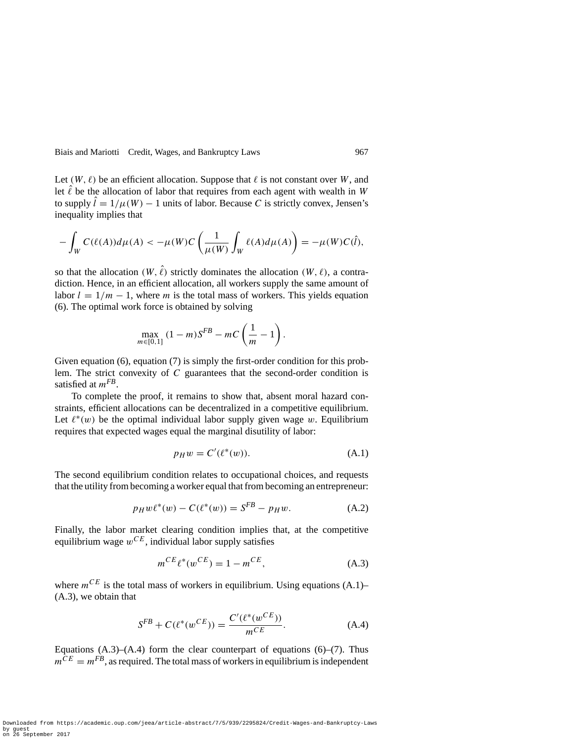Let  $(W, \ell)$  be an efficient allocation. Suppose that  $\ell$  is not constant over *W*, and let  $\ell$  be the allocation of labor that requires from each agent with wealth in *W* to supply  $\hat{l} = 1/\mu(W) - 1$  units of labor. Because C is strictly convex, Jensen's inequality implies that

$$
-\int_W C(\ell(A))d\mu(A) < -\mu(W)C\left(\frac{1}{\mu(W)}\int_W \ell(A)d\mu(A)\right) = -\mu(W)C(\hat{I}),
$$

so that the allocation  $(W, \ell)$  strictly dominates the allocation  $(W, \ell)$ , a contradiction. Hence, in an efficient allocation, all workers supply the same amount of labor  $l = 1/m - 1$ , where *m* is the total mass of workers. This yields equation (6). The optimal work force is obtained by solving

$$
\max_{m \in [0,1]} (1-m)S^{FB} - mC\left(\frac{1}{m} - 1\right).
$$

Given equation (6), equation (7) is simply the first-order condition for this problem. The strict convexity of *C* guarantees that the second-order condition is satisfied at *mFB*.

To complete the proof, it remains to show that, absent moral hazard constraints, efficient allocations can be decentralized in a competitive equilibrium. Let  $\ell^*(w)$  be the optimal individual labor supply given wage *w*. Equilibrium requires that expected wages equal the marginal disutility of labor:

$$
p_H w = C'(\ell^*(w)).
$$
\n(A.1)

The second equilibrium condition relates to occupational choices, and requests that the utility from becoming a worker equal that from becoming an entrepreneur:

$$
p_H w \ell^*(w) - C(\ell^*(w)) = S^{FB} - p_H w.
$$
 (A.2)

Finally, the labor market clearing condition implies that, at the competitive equilibrium wage  $w^{CE}$ , individual labor supply satisfies

$$
m^{CE} \ell^*(w^{CE}) = 1 - m^{CE}, \qquad (A.3)
$$

where  $m^{CE}$  is the total mass of workers in equilibrium. Using equations  $(A.1)$ – (A.3), we obtain that

$$
S^{FB} + C(\ell^*(w^{CE})) = \frac{C'(\ell^*(w^{CE}))}{m^{CE}}.
$$
 (A.4)

Equations  $(A.3)$ – $(A.4)$  form the clear counterpart of equations  $(6)$ – $(7)$ . Thus  $m^{\tilde{C}E} = m^{FB}$ , as required. The total mass of workers in equilibrium is independent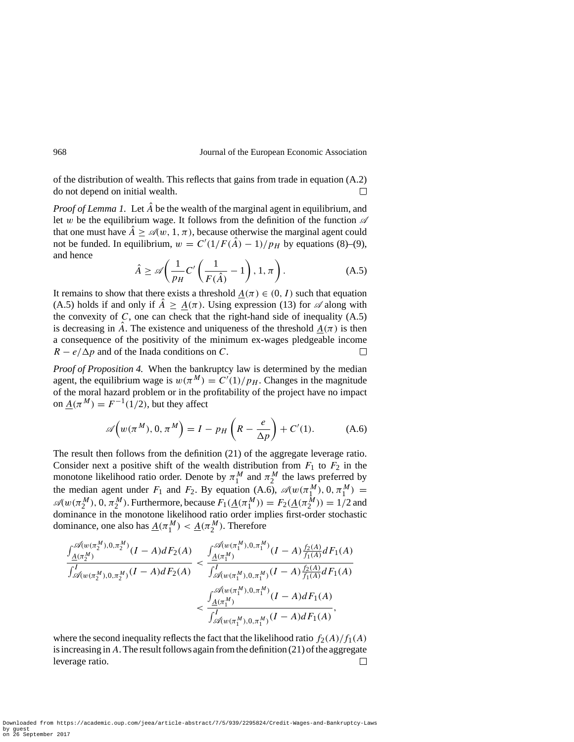of the distribution of wealth. This reflects that gains from trade in equation (A.2) do not depend on initial wealth.  $\Box$ 

*Proof of Lemma 1.* Let  $\hat{A}$  be the wealth of the marginal agent in equilibrium, and let *w* be the equilibrium wage. It follows from the definition of the function  $\mathscr A$ that one must have  $\hat{A} > \mathcal{A}(w, 1, \pi)$ , because otherwise the marginal agent could not be funded. In equilibrium,  $w = C'(1/F(A) - 1)/p_H$  by equations (8)–(9), and hence

$$
\hat{A} \ge \mathscr{A}\left(\frac{1}{p_H}C'\left(\frac{1}{F(\hat{A})}-1\right),1,\pi\right). \tag{A.5}
$$

It remains to show that there exists a threshold  $A(\pi) \in (0, I)$  such that equation (A.5) holds if and only if  $\hat{A} \geq \underline{A}(\pi)$ . Using expression (13) for  $\mathscr A$  along with the convexity of  $C$ , one can check that the right-hand side of inequality  $(A.5)$ is decreasing in  $\hat{A}$ . The existence and uniqueness of the threshold  $A(\pi)$  is then a consequence of the positivity of the minimum ex-wages pledgeable income  $R - e/\Delta p$  and of the Inada conditions on *C*.  $\Box$ 

*Proof of Proposition 4.* When the bankruptcy law is determined by the median agent, the equilibrium wage is  $w(\pi^M) = C'(1)/p_H$ . Changes in the magnitude of the moral hazard problem or in the profitability of the project have no impact on  $A(\pi^M) = F^{-1}(1/2)$ , but they affect

$$
\mathscr{A}\Big(w(\pi^M), 0, \pi^M\Big) = I - p_H\left(R - \frac{e}{\Delta p}\right) + C'(1). \tag{A.6}
$$

The result then follows from the definition (21) of the aggregate leverage ratio. Consider next a positive shift of the wealth distribution from  $F_1$  to  $F_2$  in the monotone likelihood ratio order. Denote by  $\pi_1^M$  and  $\pi_2^M$  the laws preferred by the median agent under  $F_1$  and  $F_2$ . By equation (A.6),  $\mathcal{A}(w(\pi_1^M), 0, \pi_1^M) =$  $\mathcal{A}(w(\pi_2^M), 0, \pi_2^M)$ . Furthermore, because  $F_1(\underline{A}(\pi_1^M)) = F_2(\underline{A}(\pi_2^M)) = 1/2$  and dominance in the monotone likelihood ratio order implies first-order stochastic dominance, one also has  $\underline{A}(\pi_1^M) < \underline{A}(\pi_2^M)$ . Therefore

$$
\frac{\int_{\underline{A}(\pi_{1}^{M})}^{\mathcal{A}(w(\pi_{2}^{M}),0,\pi_{2}^{M})}(I-A)dF_{2}(A)}{\int_{\mathcal{A}(w(\pi_{2}^{M}),0,\pi_{2}^{M})}^{\prime}(I-A)dF_{2}(A)} < \frac{\int_{\underline{A}(\pi_{1}^{M})}^{\mathcal{A}(w(\pi_{1}^{M}),0,\pi_{1}^{M})}(I-A)\frac{f_{2}(A)}{f_{1}(A)}dF_{1}(A)}{\int_{\mathcal{A}(w(\pi_{1}^{M}),0,\pi_{1}^{M})}^{\prime}(I-A)\frac{f_{2}(A)}{f_{1}(A)}dF_{1}(A)} \n< \frac{\int_{\underline{A}(\pi_{1}^{M})}^{\mathcal{A}(w(\pi_{1}^{M}),0,\pi_{1}^{M})}(I-A)dF_{1}(A)}{\int_{\mathcal{A}(w(\pi_{1}^{M}),0,\pi_{1}^{M})}(I-A)dF_{1}(A)},
$$

where the second inequality reflects the fact that the likelihood ratio  $f_2(A)/f_1(A)$ is increasing in*A*. The result follows again from the definition (21) of the aggregate leverage ratio. П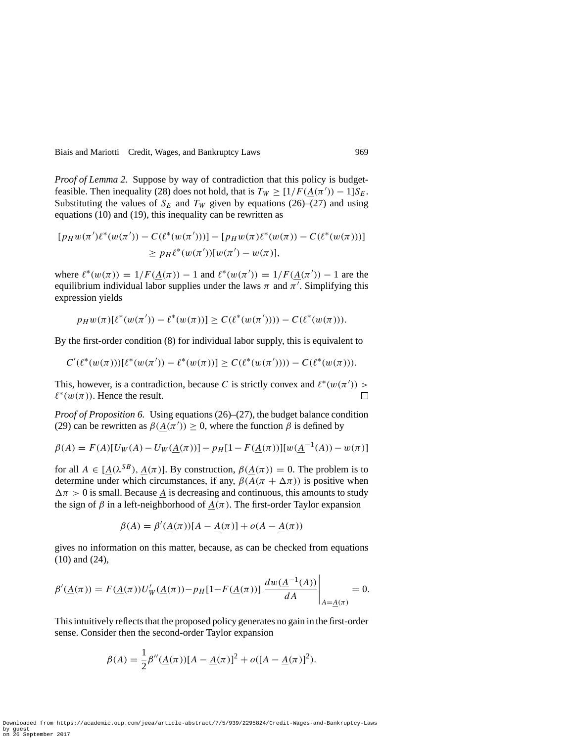*Proof of Lemma 2.* Suppose by way of contradiction that this policy is budgetfeasible. Then inequality (28) does not hold, that is  $T_W \geq [1/F(\underline{A}(\pi')) - 1]S_E$ . Substituting the values of  $S_E$  and  $T_W$  given by equations (26)–(27) and using equations (10) and (19), this inequality can be rewritten as

$$
[p_H w(\pi')\ell^*(w(\pi')) - C(\ell^*(w(\pi')))] - [p_H w(\pi)\ell^*(w(\pi)) - C(\ell^*(w(\pi)))]
$$
  
\n
$$
\geq p_H \ell^*(w(\pi'))[w(\pi') - w(\pi)],
$$

where  $\ell^*(w(\pi)) = 1/F(\underline{A}(\pi)) - 1$  and  $\ell^*(w(\pi')) = 1/F(\underline{A}(\pi')) - 1$  are the equilibrium individual labor supplies under the laws *π* and *π* . Simplifying this expression yields

$$
p_H w(\pi)[\ell^*(w(\pi')) - \ell^*(w(\pi))] \ge C(\ell^*(w(\pi')))) - C(\ell^*(w(\pi))).
$$

By the first-order condition (8) for individual labor supply, this is equivalent to

$$
C'(\ell^*(w(\pi)))[\ell^*(w(\pi')) - \ell^*(w(\pi))] \ge C(\ell^*(w(\pi')))) - C(\ell^*(w(\pi))).
$$

This, however, is a contradiction, because *C* is strictly convex and  $\ell^*(w(\pi'))$  $\ell^*(w(\pi))$ . Hence the result.  $\Box$ 

*Proof of Proposition 6.* Using equations (26)–(27), the budget balance condition (29) can be rewritten as  $\beta(\underline{A}(\pi')) \ge 0$ , where the function  $\beta$  is defined by

$$
\beta(A) = F(A)[U_W(A) - U_W(\underline{A}(\pi))] - p_H[1 - F(\underline{A}(\pi))][w(\underline{A}^{-1}(A)) - w(\pi)]
$$

for all  $A \in [A(\lambda^{SB}), A(\pi)]$ . By construction,  $\beta(A(\pi)) = 0$ . The problem is to determine under which circumstances, if any,  $\beta(\underline{A}(\pi + \Delta \pi))$  is positive when  $\Delta \pi > 0$  is small. Because  $\underline{A}$  is decreasing and continuous, this amounts to study the sign of  $\beta$  in a left-neighborhood of  $A(\pi)$ . The first-order Taylor expansion

$$
\beta(A) = \beta'(\underline{A}(\pi))[A - \underline{A}(\pi)] + o(A - \underline{A}(\pi))
$$

gives no information on this matter, because, as can be checked from equations (10) and (24),

$$
\beta'(\underline{A}(\pi)) = F(\underline{A}(\pi))U'_{W}(\underline{A}(\pi)) - p_{H}[1 - F(\underline{A}(\pi))] \left. \frac{dw(\underline{A}^{-1}(A))}{dA} \right|_{A = \underline{A}(\pi)} = 0.
$$

This intuitively reflects that the proposed policy generates no gain in the first-order sense. Consider then the second-order Taylor expansion

$$
\beta(A) = \frac{1}{2}\beta''(\underline{A}(\pi))[A - \underline{A}(\pi)]^2 + o([A - \underline{A}(\pi)]^2).
$$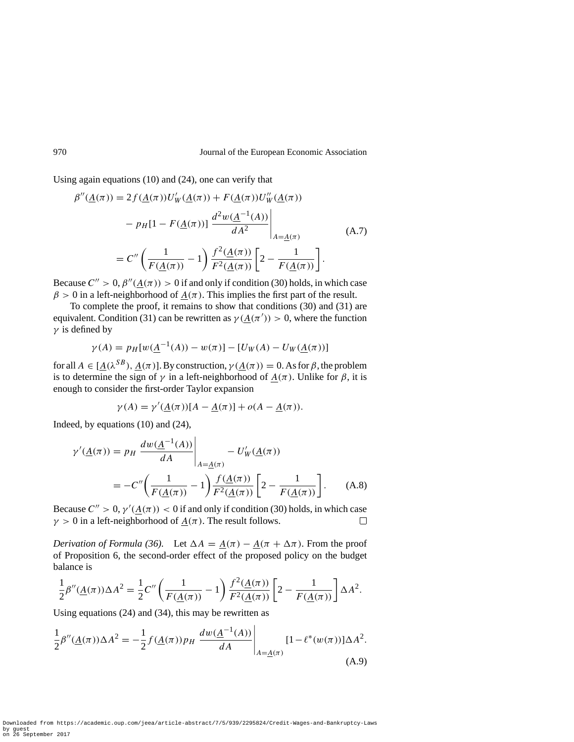Using again equations (10) and (24), one can verify that

$$
\beta''(\underline{A}(\pi)) = 2f(\underline{A}(\pi))U'_{W}(\underline{A}(\pi)) + F(\underline{A}(\pi))U''_{W}(\underline{A}(\pi))
$$

$$
- p_{H}[1 - F(\underline{A}(\pi))] \frac{d^{2}w(\underline{A}^{-1}(A))}{dA^{2}} \Bigg|_{A = \underline{A}(\pi)} \tag{A.7}
$$

$$
= C'' \left( \frac{1}{F(\underline{A}(\pi))} - 1 \right) \frac{f^{2}(\underline{A}(\pi))}{F^{2}(\underline{A}(\pi))} \left[ 2 - \frac{1}{F(\underline{A}(\pi))} \right].
$$

Because  $C'' > 0$ ,  $\beta''(A(\pi)) > 0$  if and only if condition (30) holds, in which case  $\beta$  > 0 in a left-neighborhood of  $A(\pi)$ . This implies the first part of the result.

To complete the proof, it remains to show that conditions (30) and (31) are equivalent. Condition (31) can be rewritten as  $\gamma(\underline{A}(\pi')) > 0$ , where the function *γ* is defined by

$$
\gamma(A) = p_H[w(\underline{A}^{-1}(A)) - w(\pi)] - [U_W(A) - U_W(\underline{A}(\pi))]
$$

for all  $A \in [A(\lambda^{SB}), A(\pi)]$ . By construction,  $\gamma(A(\pi)) = 0$ . As for  $\beta$ , the problem is to determine the sign of  $\gamma$  in a left-neighborhood of  $A(\pi)$ . Unlike for  $\beta$ , it is enough to consider the first-order Taylor expansion

$$
\gamma(A) = \gamma'(\underline{A}(\pi))[A - \underline{A}(\pi)] + o(A - \underline{A}(\pi)).
$$

Indeed, by equations (10) and (24),

$$
\gamma'(\underline{A}(\pi)) = p_H \left. \frac{dw(\underline{A}^{-1}(A))}{dA} \right|_{A = \underline{A}(\pi)} - U'_W(\underline{A}(\pi))
$$
  
= 
$$
-C'' \left( \frac{1}{F(\underline{A}(\pi))} - 1 \right) \frac{f(\underline{A}(\pi))}{F^2(\underline{A}(\pi))} \left[ 2 - \frac{1}{F(\underline{A}(\pi))} \right].
$$
 (A.8)

Because  $C'' > 0$ ,  $\gamma'(\underline{A}(\pi)) < 0$  if and only if condition (30) holds, in which case  $\gamma > 0$  in a left-neighborhood of  $A(\pi)$ . The result follows.  $\Box$ 

*Derivation of Formula (36).* Let  $\Delta A = \underline{A}(\pi) - \underline{A}(\pi + \Delta \pi)$ . From the proof of Proposition 6, the second-order effect of the proposed policy on the budget balance is

$$
\frac{1}{2}\beta''(\underline{A}(\pi))\Delta A^2 = \frac{1}{2}C''\left(\frac{1}{F(\underline{A}(\pi))}-1\right)\frac{f^2(\underline{A}(\pi))}{F^2(\underline{A}(\pi))}\left[2-\frac{1}{F(\underline{A}(\pi))}\right]\Delta A^2.
$$

Using equations (24) and (34), this may be rewritten as

$$
\frac{1}{2}\beta''(\underline{A}(\pi))\Delta A^2 = -\frac{1}{2}f(\underline{A}(\pi))p_H \left. \frac{dw(\underline{A}^{-1}(A))}{dA} \right|_{A = \underline{A}(\pi)} [1 - \ell^*(w(\pi))] \Delta A^2.
$$
\n(A.9)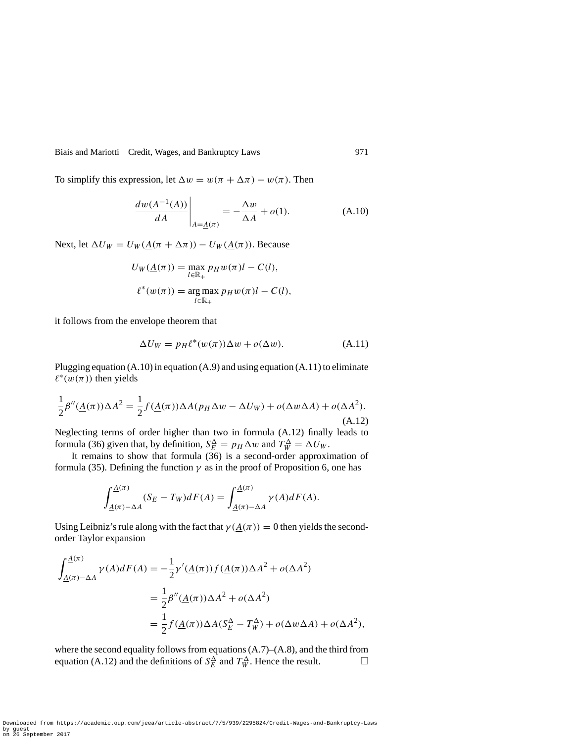To simplify this expression, let  $\Delta w = w(\pi + \Delta \pi) - w(\pi)$ . Then

$$
\left. \frac{dw(\underline{A}^{-1}(A))}{dA} \right|_{A=\underline{A}(\pi)} = -\frac{\Delta w}{\Delta A} + o(1). \tag{A.10}
$$

Next, let  $\Delta U_W = U_W(\underline{A}(\pi + \Delta \pi)) - U_W(\underline{A}(\pi))$ . Because

$$
U_W(\underline{A}(\pi)) = \max_{l \in \mathbb{R}_+} p_H w(\pi) l - C(l),
$$
  

$$
\ell^*(w(\pi)) = \arg \max_{l \in \mathbb{R}_+} p_H w(\pi) l - C(l),
$$

it follows from the envelope theorem that

$$
\Delta U_W = p_H \ell^*(w(\pi)) \Delta w + o(\Delta w). \tag{A.11}
$$

Plugging equation  $(A.10)$  in equation  $(A.9)$  and using equation  $(A.11)$  to eliminate  $\ell^*(w(\pi))$  then yields

$$
\frac{1}{2}\beta''(\underline{A}(\pi))\Delta A^2 = \frac{1}{2}f(\underline{A}(\pi))\Delta A(p_H\Delta w - \Delta U_W) + o(\Delta w \Delta A) + o(\Delta A^2).
$$
\n(A.12)

Neglecting terms of order higher than two in formula (A.12) finally leads to formula (36) given that, by definition,  $S_E^{\Delta} = p_H \Delta w$  and  $T_W^{\Delta} = \Delta U_W$ .

It remains to show that formula  $(36)$  is a second-order approximation of formula (35). Defining the function  $\gamma$  as in the proof of Proposition 6, one has

$$
\int_{\underline{A}(\pi)-\Delta A}^{\underline{A}(\pi)} (S_E - T_W) dF(A) = \int_{\underline{A}(\pi)-\Delta A}^{\underline{A}(\pi)} \gamma(A) dF(A).
$$

Using Leibniz's rule along with the fact that  $\gamma(A(\pi)) = 0$  then yields the secondorder Taylor expansion

$$
\int_{\underline{A}(\pi)-\Delta A}^{\underline{A}(\pi)} \gamma(A)dF(A) = -\frac{1}{2}\gamma'(\underline{A}(\pi))f(\underline{A}(\pi))\Delta A^2 + o(\Delta A^2)
$$
  
= 
$$
\frac{1}{2}\beta''(\underline{A}(\pi))\Delta A^2 + o(\Delta A^2)
$$
  
= 
$$
\frac{1}{2}f(\underline{A}(\pi))\Delta A(S_E^{\Delta} - T_W^{\Delta}) + o(\Delta w \Delta A) + o(\Delta A^2),
$$

where the second equality follows from equations  $(A.7)$ – $(A.8)$ , and the third from equation (A.12) and the definitions of  $S_E^{\Delta}$  and  $T_W^{\Delta}$ . Hence the result.  $\Box$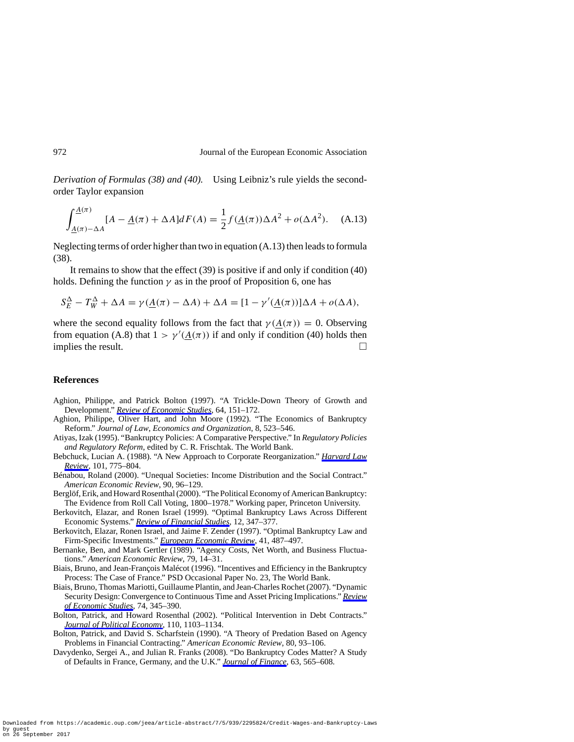*Derivation of Formulas (38) and (40).* Using Leibniz's rule yields the secondorder Taylor expansion

$$
\int_{\underline{A}(\pi)-\Delta A}^{\underline{A}(\pi)} [A - \underline{A}(\pi) + \Delta A] dF(A) = \frac{1}{2} f(\underline{A}(\pi)) \Delta A^2 + o(\Delta A^2). \quad (A.13)
$$

Neglecting terms of order higher than two in equation (A.13) then leads to formula (38).

It remains to show that the effect (39) is positive if and only if condition (40) holds. Defining the function  $\gamma$  as in the proof of Proposition 6, one has

$$
S_E^{\Delta} - T_W^{\Delta} + \Delta A = \gamma(\underline{A}(\pi) - \Delta A) + \Delta A = [1 - \gamma'(\underline{A}(\pi))] \Delta A + o(\Delta A),
$$

where the second equality follows from the fact that  $\gamma(A(\pi)) = 0$ . Observing from equation (A.8) that  $1 > \gamma'(\underline{A}(\pi))$  if and only if condition (40) holds then implies the result.  $\Box$ 

#### **References**

- Aghion, Philippe, and Patrick Bolton (1997). "A Trickle-Down Theory of Growth and Development." *Review of Economic Studies*, 64, 151–172.
- Aghion, Philippe, Oliver Hart, and John Moore (1992). "The Economics of Bankruptcy Reform." *Journal of Law*, *Economics and Organization*, 8, 523–546.
- Atiyas, Izak (1995). "Bankruptcy Policies: A Comparative Perspective." In *Regulatory Policies and Regulatory Reform*, edited by C. R. Frischtak. The World Bank.
- Bebchuck, Lucian A. (1988). "A New Approach to Corporate Reorganization." *Harvard Law Review*, 101, 775–804.
- Bénabou, Roland (2000). "Unequal Societies: Income Distribution and the Social Contract." *American Economic Review*, 90, 96–129.
- Berglöf, Erik, and Howard Rosenthal (2000). "The Political Economy of American Bankruptcy: The Evidence from Roll Call Voting, 1800–1978." Working paper, Princeton University.
- Berkovitch, Elazar, and Ronen Israel (1999). "Optimal Bankruptcy Laws Across Different Economic Systems." *Review of Financial Studies*, 12, 347–377.
- Berkovitch, Elazar, Ronen Israel, and Jaime F. Zender (1997). "Optimal Bankruptcy Law and Firm-Specific Investments." *European Economic Review*, 41, 487–497.
- Bernanke, Ben, and Mark Gertler (1989). "Agency Costs, Net Worth, and Business Fluctuations." *American Economic Review*, 79, 14–31.
- Biais, Bruno, and Jean-François Malécot (1996). "Incentives and Efficiency in the Bankruptcy Process: The Case of France." PSD Occasional Paper No. 23, The World Bank.
- Biais, Bruno, Thomas Mariotti, Guillaume Plantin, and Jean-Charles Rochet (2007). "Dynamic Security Design: Convergence to Continuous Time and Asset Pricing Implications." *Review of Economic Studies*, 74, 345–390.
- Bolton, Patrick, and Howard Rosenthal (2002). "Political Intervention in Debt Contracts." *Journal of Political Economy*, 110, 1103–1134.
- Bolton, Patrick, and David S. Scharfstein (1990). "A Theory of Predation Based on Agency Problems in Financial Contracting." *American Economic Review*, 80, 93–106.
- Davydenko, Sergei A., and Julian R. Franks (2008). "Do Bankruptcy Codes Matter? A Study of Defaults in France, Germany, and the U.K." *Journal of Finance*, 63, 565–608.